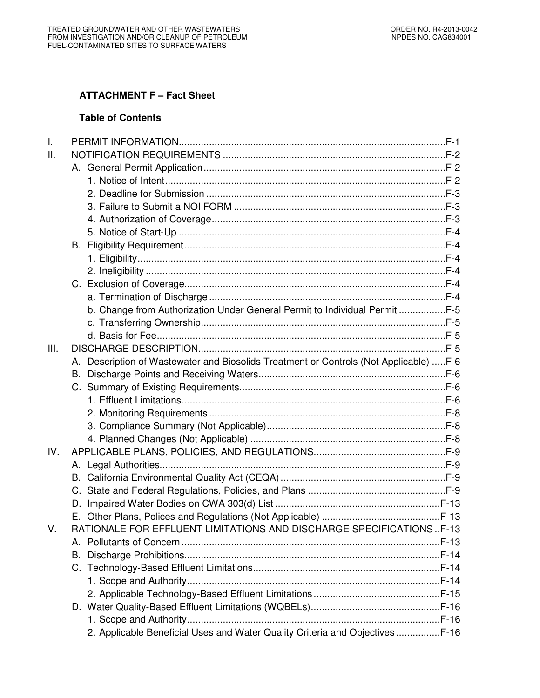## **ATTACHMENT F – Fact Sheet**

## **Table of Contents**

| $\mathbf{L}$ |                                                                                       |  |
|--------------|---------------------------------------------------------------------------------------|--|
| II.          |                                                                                       |  |
|              |                                                                                       |  |
|              |                                                                                       |  |
|              |                                                                                       |  |
|              |                                                                                       |  |
|              |                                                                                       |  |
|              |                                                                                       |  |
|              |                                                                                       |  |
|              |                                                                                       |  |
|              |                                                                                       |  |
|              |                                                                                       |  |
|              |                                                                                       |  |
|              | b. Change from Authorization Under General Permit to Individual Permit F-5            |  |
|              |                                                                                       |  |
|              |                                                                                       |  |
| III.         |                                                                                       |  |
|              | A. Description of Wastewater and Biosolids Treatment or Controls (Not Applicable) F-6 |  |
|              |                                                                                       |  |
|              |                                                                                       |  |
|              |                                                                                       |  |
|              |                                                                                       |  |
|              |                                                                                       |  |
|              |                                                                                       |  |
| IV.          |                                                                                       |  |
|              |                                                                                       |  |
|              |                                                                                       |  |
|              |                                                                                       |  |
|              |                                                                                       |  |
|              |                                                                                       |  |
| V.           | <b>RATIONALE FOR EFFLUENT LIMITATIONS AND DISCHARGE SPECIFICATIONSF-13</b>            |  |
|              |                                                                                       |  |
|              |                                                                                       |  |
|              |                                                                                       |  |
|              |                                                                                       |  |
|              |                                                                                       |  |
|              |                                                                                       |  |
|              |                                                                                       |  |
|              | 2. Applicable Beneficial Uses and Water Quality Criteria and Objectives  F-16         |  |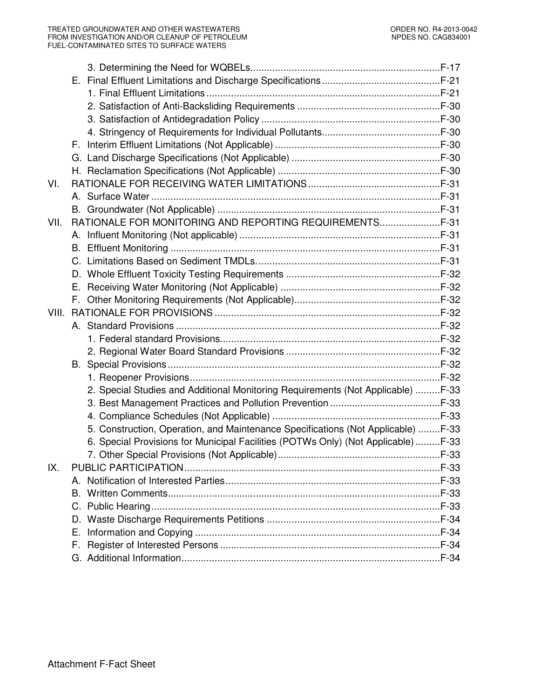| VI.  |                                                                                   |  |
|------|-----------------------------------------------------------------------------------|--|
|      |                                                                                   |  |
|      |                                                                                   |  |
| VII. | RATIONALE FOR MONITORING AND REPORTING REQUIREMENTS                               |  |
|      |                                                                                   |  |
|      |                                                                                   |  |
|      |                                                                                   |  |
|      |                                                                                   |  |
|      |                                                                                   |  |
|      |                                                                                   |  |
|      |                                                                                   |  |
|      |                                                                                   |  |
|      |                                                                                   |  |
|      |                                                                                   |  |
|      |                                                                                   |  |
|      |                                                                                   |  |
|      | 2. Special Studies and Additional Monitoring Requirements (Not Applicable) F-33   |  |
|      |                                                                                   |  |
|      |                                                                                   |  |
|      | 5. Construction, Operation, and Maintenance Specifications (Not Applicable) F-33  |  |
|      | 6. Special Provisions for Municipal Facilities (POTWs Only) (Not Applicable) F-33 |  |
|      |                                                                                   |  |
| IX.  |                                                                                   |  |
|      |                                                                                   |  |
|      |                                                                                   |  |
|      |                                                                                   |  |
|      |                                                                                   |  |
|      | Е.                                                                                |  |
|      |                                                                                   |  |
|      |                                                                                   |  |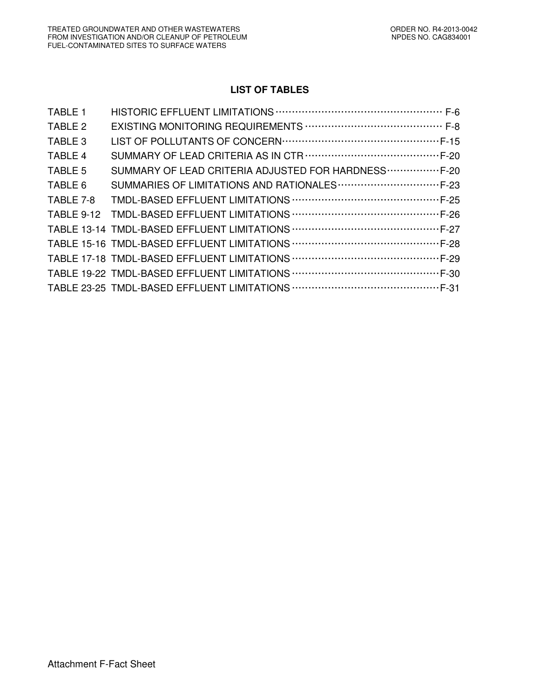# **LIST OF TABLES**

| <b>TABLE 1</b> |                                                      |
|----------------|------------------------------------------------------|
| TABLE 2        |                                                      |
| TABLE 3        |                                                      |
| TABLE 4        |                                                      |
| TABLE 5        | SUMMARY OF LEAD CRITERIA ADJUSTED FOR HARDNESS  F-20 |
| TABLE 6        |                                                      |
| TABLE 7-8      |                                                      |
|                |                                                      |
|                |                                                      |
|                |                                                      |
|                |                                                      |
|                |                                                      |
|                |                                                      |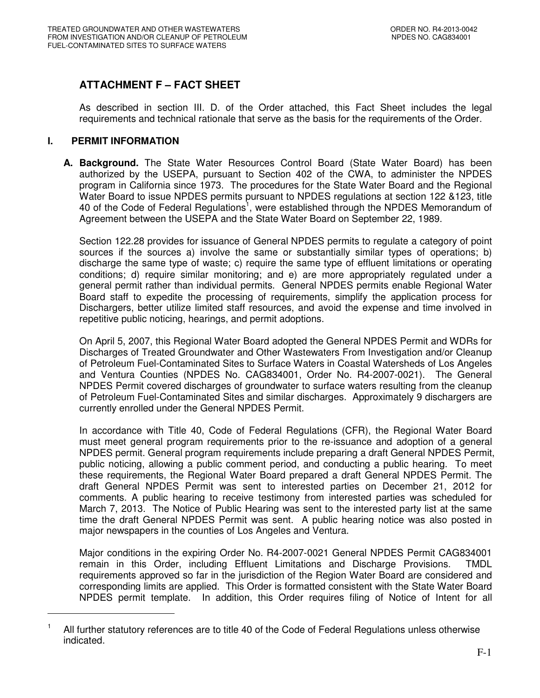# **ATTACHMENT F – FACT SHEET**

As described in section III. D. of the Order attached, this Fact Sheet includes the legal requirements and technical rationale that serve as the basis for the requirements of the Order.

## **I. PERMIT INFORMATION**

-

**A. Background.** The State Water Resources Control Board (State Water Board) has been authorized by the USEPA, pursuant to Section 402 of the CWA, to administer the NPDES program in California since 1973. The procedures for the State Water Board and the Regional Water Board to issue NPDES permits pursuant to NPDES regulations at section 122 &123, title 40 of the Code of Federal Regulations<sup>1</sup>, were established through the NPDES Memorandum of Agreement between the USEPA and the State Water Board on September 22, 1989.

Section 122.28 provides for issuance of General NPDES permits to regulate a category of point sources if the sources a) involve the same or substantially similar types of operations; b) discharge the same type of waste; c) require the same type of effluent limitations or operating conditions; d) require similar monitoring; and e) are more appropriately regulated under a general permit rather than individual permits. General NPDES permits enable Regional Water Board staff to expedite the processing of requirements, simplify the application process for Dischargers, better utilize limited staff resources, and avoid the expense and time involved in repetitive public noticing, hearings, and permit adoptions.

On April 5, 2007, this Regional Water Board adopted the General NPDES Permit and WDRs for Discharges of Treated Groundwater and Other Wastewaters From Investigation and/or Cleanup of Petroleum Fuel-Contaminated Sites to Surface Waters in Coastal Watersheds of Los Angeles and Ventura Counties (NPDES No. CAG834001, Order No. R4-2007-0021). The General NPDES Permit covered discharges of groundwater to surface waters resulting from the cleanup of Petroleum Fuel-Contaminated Sites and similar discharges. Approximately 9 dischargers are currently enrolled under the General NPDES Permit.

In accordance with Title 40, Code of Federal Regulations (CFR), the Regional Water Board must meet general program requirements prior to the re-issuance and adoption of a general NPDES permit. General program requirements include preparing a draft General NPDES Permit, public noticing, allowing a public comment period, and conducting a public hearing. To meet these requirements, the Regional Water Board prepared a draft General NPDES Permit. The draft General NPDES Permit was sent to interested parties on December 21, 2012 for comments. A public hearing to receive testimony from interested parties was scheduled for March 7, 2013. The Notice of Public Hearing was sent to the interested party list at the same time the draft General NPDES Permit was sent. A public hearing notice was also posted in major newspapers in the counties of Los Angeles and Ventura.

Major conditions in the expiring Order No. R4-2007-0021 General NPDES Permit CAG834001 remain in this Order, including Effluent Limitations and Discharge Provisions. TMDL requirements approved so far in the jurisdiction of the Region Water Board are considered and corresponding limits are applied. This Order is formatted consistent with the State Water Board NPDES permit template. In addition, this Order requires filing of Notice of Intent for all

<sup>1</sup> All further statutory references are to title 40 of the Code of Federal Regulations unless otherwise indicated.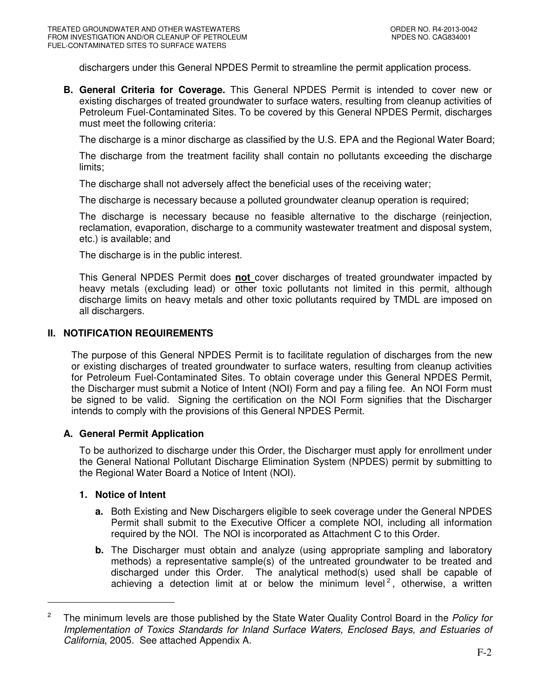dischargers under this General NPDES Permit to streamline the permit application process.

**B. General Criteria for Coverage.** This General NPDES Permit is intended to cover new or existing discharges of treated groundwater to surface waters, resulting from cleanup activities of Petroleum Fuel-Contaminated Sites. To be covered by this General NPDES Permit, discharges must meet the following criteria:

The discharge is a minor discharge as classified by the U.S. EPA and the Regional Water Board;

The discharge from the treatment facility shall contain no pollutants exceeding the discharge limits;

The discharge shall not adversely affect the beneficial uses of the receiving water;

The discharge is necessary because a polluted groundwater cleanup operation is required;

The discharge is necessary because no feasible alternative to the discharge (reinjection, reclamation, evaporation, discharge to a community wastewater treatment and disposal system, etc.) is available; and

The discharge is in the public interest.

This General NPDES Permit does **not** cover discharges of treated groundwater impacted by heavy metals (excluding lead) or other toxic pollutants not limited in this permit, although discharge limits on heavy metals and other toxic pollutants required by TMDL are imposed on all dischargers.

## **II. NOTIFICATION REQUIREMENTS**

The purpose of this General NPDES Permit is to facilitate regulation of discharges from the new or existing discharges of treated groundwater to surface waters, resulting from cleanup activities for Petroleum Fuel-Contaminated Sites. To obtain coverage under this General NPDES Permit, the Discharger must submit a Notice of Intent (NOI) Form and pay a filing fee. An NOI Form must be signed to be valid. Signing the certification on the NOI Form signifies that the Discharger intends to comply with the provisions of this General NPDES Permit.

## **A. General Permit Application**

To be authorized to discharge under this Order, the Discharger must apply for enrollment under the General National Pollutant Discharge Elimination System (NPDES) permit by submitting to the Regional Water Board a Notice of Intent (NOI).

#### **1. Notice of Intent**

-

- **a.** Both Existing and New Dischargers eligible to seek coverage under the General NPDES Permit shall submit to the Executive Officer a complete NOI, including all information required by the NOI. The NOI is incorporated as Attachment C to this Order.
- **b.** The Discharger must obtain and analyze (using appropriate sampling and laboratory methods) a representative sample(s) of the untreated groundwater to be treated and discharged under this Order. The analytical method(s) used shall be capable of achieving a detection limit at or below the minimum level<sup>2</sup>, otherwise, a written

<sup>2</sup> The minimum levels are those published by the State Water Quality Control Board in the Policy for Implementation of Toxics Standards for Inland Surface Waters, Enclosed Bays, and Estuaries of California, 2005. See attached Appendix A.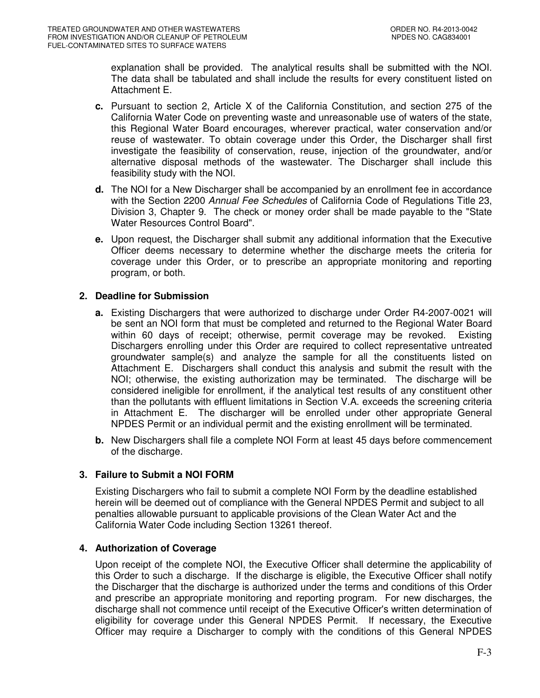explanation shall be provided. The analytical results shall be submitted with the NOI. The data shall be tabulated and shall include the results for every constituent listed on Attachment E.

- **c.** Pursuant to section 2, Article X of the California Constitution, and section 275 of the California Water Code on preventing waste and unreasonable use of waters of the state, this Regional Water Board encourages, wherever practical, water conservation and/or reuse of wastewater. To obtain coverage under this Order, the Discharger shall first investigate the feasibility of conservation, reuse, injection of the groundwater, and/or alternative disposal methods of the wastewater. The Discharger shall include this feasibility study with the NOI.
- **d.** The NOI for a New Discharger shall be accompanied by an enrollment fee in accordance with the Section 2200 Annual Fee Schedules of California Code of Regulations Title 23, Division 3, Chapter 9. The check or money order shall be made payable to the "State Water Resources Control Board".
- **e.** Upon request, the Discharger shall submit any additional information that the Executive Officer deems necessary to determine whether the discharge meets the criteria for coverage under this Order, or to prescribe an appropriate monitoring and reporting program, or both.

## **2. Deadline for Submission**

- **a.** Existing Dischargers that were authorized to discharge under Order R4-2007-0021 will be sent an NOI form that must be completed and returned to the Regional Water Board within 60 days of receipt; otherwise, permit coverage may be revoked. Existing Dischargers enrolling under this Order are required to collect representative untreated groundwater sample(s) and analyze the sample for all the constituents listed on Attachment E. Dischargers shall conduct this analysis and submit the result with the NOI; otherwise, the existing authorization may be terminated. The discharge will be considered ineligible for enrollment, if the analytical test results of any constituent other than the pollutants with effluent limitations in Section V.A. exceeds the screening criteria in Attachment E. The discharger will be enrolled under other appropriate General NPDES Permit or an individual permit and the existing enrollment will be terminated.
- **b.** New Dischargers shall file a complete NOI Form at least 45 days before commencement of the discharge.

# **3. Failure to Submit a NOI FORM**

Existing Dischargers who fail to submit a complete NOI Form by the deadline established herein will be deemed out of compliance with the General NPDES Permit and subject to all penalties allowable pursuant to applicable provisions of the Clean Water Act and the California Water Code including Section 13261 thereof.

# **4. Authorization of Coverage**

Upon receipt of the complete NOI, the Executive Officer shall determine the applicability of this Order to such a discharge. If the discharge is eligible, the Executive Officer shall notify the Discharger that the discharge is authorized under the terms and conditions of this Order and prescribe an appropriate monitoring and reporting program. For new discharges, the discharge shall not commence until receipt of the Executive Officer's written determination of eligibility for coverage under this General NPDES Permit. If necessary, the Executive Officer may require a Discharger to comply with the conditions of this General NPDES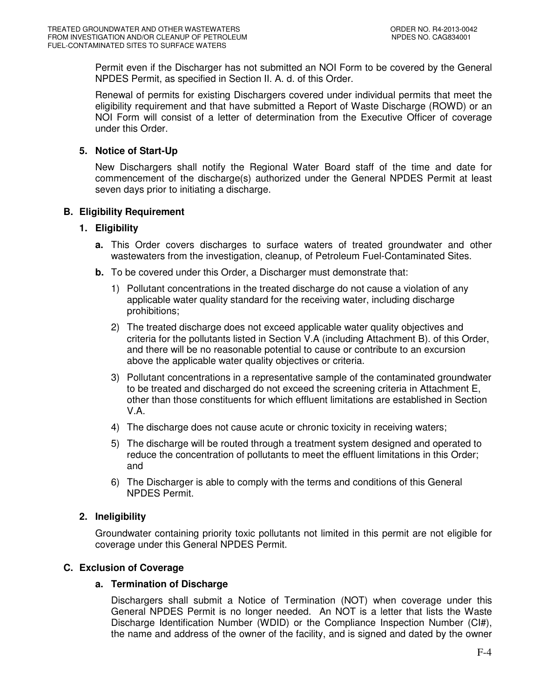Permit even if the Discharger has not submitted an NOI Form to be covered by the General NPDES Permit, as specified in Section II. A. d. of this Order.

Renewal of permits for existing Dischargers covered under individual permits that meet the eligibility requirement and that have submitted a Report of Waste Discharge (ROWD) or an NOI Form will consist of a letter of determination from the Executive Officer of coverage under this Order.

## **5. Notice of Start-Up**

New Dischargers shall notify the Regional Water Board staff of the time and date for commencement of the discharge(s) authorized under the General NPDES Permit at least seven days prior to initiating a discharge.

## **B. Eligibility Requirement**

## **1. Eligibility**

- **a.** This Order covers discharges to surface waters of treated groundwater and other wastewaters from the investigation, cleanup, of Petroleum Fuel-Contaminated Sites.
- **b.** To be covered under this Order, a Discharger must demonstrate that:
	- 1) Pollutant concentrations in the treated discharge do not cause a violation of any applicable water quality standard for the receiving water, including discharge prohibitions;
	- 2) The treated discharge does not exceed applicable water quality objectives and criteria for the pollutants listed in Section V.A (including Attachment B). of this Order, and there will be no reasonable potential to cause or contribute to an excursion above the applicable water quality objectives or criteria.
	- 3) Pollutant concentrations in a representative sample of the contaminated groundwater to be treated and discharged do not exceed the screening criteria in Attachment E, other than those constituents for which effluent limitations are established in Section V.A.
	- 4) The discharge does not cause acute or chronic toxicity in receiving waters;
	- 5) The discharge will be routed through a treatment system designed and operated to reduce the concentration of pollutants to meet the effluent limitations in this Order; and
	- 6) The Discharger is able to comply with the terms and conditions of this General NPDES Permit.

# **2. Ineligibility**

Groundwater containing priority toxic pollutants not limited in this permit are not eligible for coverage under this General NPDES Permit.

## **C. Exclusion of Coverage**

## **a. Termination of Discharge**

Dischargers shall submit a Notice of Termination (NOT) when coverage under this General NPDES Permit is no longer needed. An NOT is a letter that lists the Waste Discharge Identification Number (WDID) or the Compliance Inspection Number (CI#), the name and address of the owner of the facility, and is signed and dated by the owner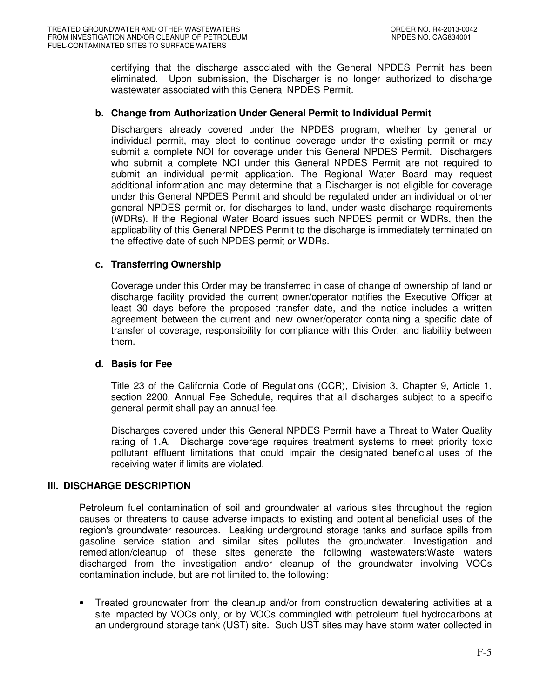certifying that the discharge associated with the General NPDES Permit has been eliminated. Upon submission, the Discharger is no longer authorized to discharge wastewater associated with this General NPDES Permit.

## **b. Change from Authorization Under General Permit to Individual Permit**

Dischargers already covered under the NPDES program, whether by general or individual permit, may elect to continue coverage under the existing permit or may submit a complete NOI for coverage under this General NPDES Permit. Dischargers who submit a complete NOI under this General NPDES Permit are not required to submit an individual permit application. The Regional Water Board may request additional information and may determine that a Discharger is not eligible for coverage under this General NPDES Permit and should be regulated under an individual or other general NPDES permit or, for discharges to land, under waste discharge requirements (WDRs). If the Regional Water Board issues such NPDES permit or WDRs, then the applicability of this General NPDES Permit to the discharge is immediately terminated on the effective date of such NPDES permit or WDRs.

## **c. Transferring Ownership**

Coverage under this Order may be transferred in case of change of ownership of land or discharge facility provided the current owner/operator notifies the Executive Officer at least 30 days before the proposed transfer date, and the notice includes a written agreement between the current and new owner/operator containing a specific date of transfer of coverage, responsibility for compliance with this Order, and liability between them.

## **d. Basis for Fee**

Title 23 of the California Code of Regulations (CCR), Division 3, Chapter 9, Article 1, section 2200, Annual Fee Schedule, requires that all discharges subject to a specific general permit shall pay an annual fee.

Discharges covered under this General NPDES Permit have a Threat to Water Quality rating of 1.A. Discharge coverage requires treatment systems to meet priority toxic pollutant effluent limitations that could impair the designated beneficial uses of the receiving water if limits are violated.

## **III. DISCHARGE DESCRIPTION**

Petroleum fuel contamination of soil and groundwater at various sites throughout the region causes or threatens to cause adverse impacts to existing and potential beneficial uses of the region's groundwater resources. Leaking underground storage tanks and surface spills from gasoline service station and similar sites pollutes the groundwater. Investigation and remediation/cleanup of these sites generate the following wastewaters:Waste waters discharged from the investigation and/or cleanup of the groundwater involving VOCs contamination include, but are not limited to, the following:

• Treated groundwater from the cleanup and/or from construction dewatering activities at a site impacted by VOCs only, or by VOCs commingled with petroleum fuel hydrocarbons at an underground storage tank (UST) site. Such UST sites may have storm water collected in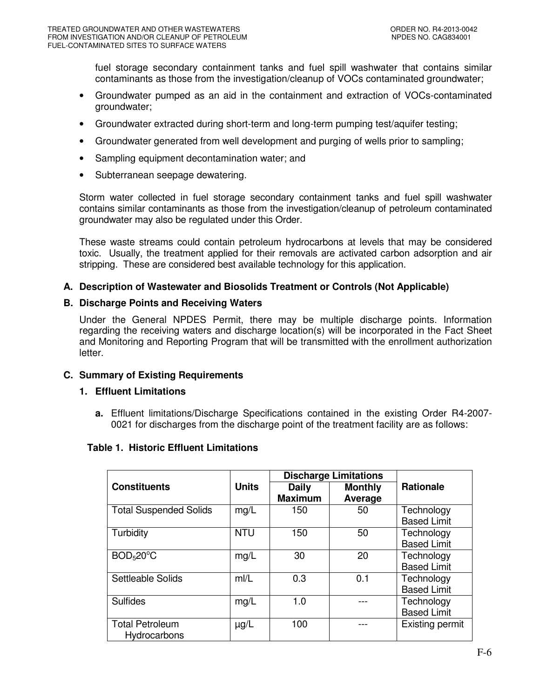fuel storage secondary containment tanks and fuel spill washwater that contains similar contaminants as those from the investigation/cleanup of VOCs contaminated groundwater;

- Groundwater pumped as an aid in the containment and extraction of VOCs-contaminated groundwater;
- Groundwater extracted during short-term and long-term pumping test/aquifer testing;
- Groundwater generated from well development and purging of wells prior to sampling;
- Sampling equipment decontamination water; and
- Subterranean seepage dewatering.

Storm water collected in fuel storage secondary containment tanks and fuel spill washwater contains similar contaminants as those from the investigation/cleanup of petroleum contaminated groundwater may also be regulated under this Order.

These waste streams could contain petroleum hydrocarbons at levels that may be considered toxic. Usually, the treatment applied for their removals are activated carbon adsorption and air stripping. These are considered best available technology for this application.

## **A. Description of Wastewater and Biosolids Treatment or Controls (Not Applicable)**

### **B. Discharge Points and Receiving Waters**

Under the General NPDES Permit, there may be multiple discharge points. Information regarding the receiving waters and discharge location(s) will be incorporated in the Fact Sheet and Monitoring and Reporting Program that will be transmitted with the enrollment authorization letter.

## **C. Summary of Existing Requirements**

## **1. Effluent Limitations**

**a.** Effluent limitations/Discharge Specifications contained in the existing Order R4-2007- 0021 for discharges from the discharge point of the treatment facility are as follows:

## **Table 1. Historic Effluent Limitations**

|                                    |              | <b>Discharge Limitations</b>   |                |                        |
|------------------------------------|--------------|--------------------------------|----------------|------------------------|
| <b>Constituents</b>                | <b>Units</b> | <b>Daily</b><br><b>Maximum</b> | <b>Monthly</b> | <b>Rationale</b>       |
|                                    |              |                                | Average        |                        |
| <b>Total Suspended Solids</b>      | mg/L         | 150                            | 50             | Technology             |
|                                    |              |                                |                | <b>Based Limit</b>     |
| Turbidity                          | <b>NTU</b>   | 150                            | 50             | Technology             |
|                                    |              |                                |                | <b>Based Limit</b>     |
| BOD <sub>5</sub> 20 <sup>°</sup> C | mg/L         | 30                             | 20             | Technology             |
|                                    |              |                                |                | <b>Based Limit</b>     |
| Settleable Solids                  | m/L          | 0.3                            | 0.1            | Technology             |
|                                    |              |                                |                | <b>Based Limit</b>     |
| <b>Sulfides</b>                    | mg/L         | 1.0                            |                | Technology             |
|                                    |              |                                |                | <b>Based Limit</b>     |
| <b>Total Petroleum</b>             | $\mu$ g/L    | 100                            |                | <b>Existing permit</b> |
| <b>Hydrocarbons</b>                |              |                                |                |                        |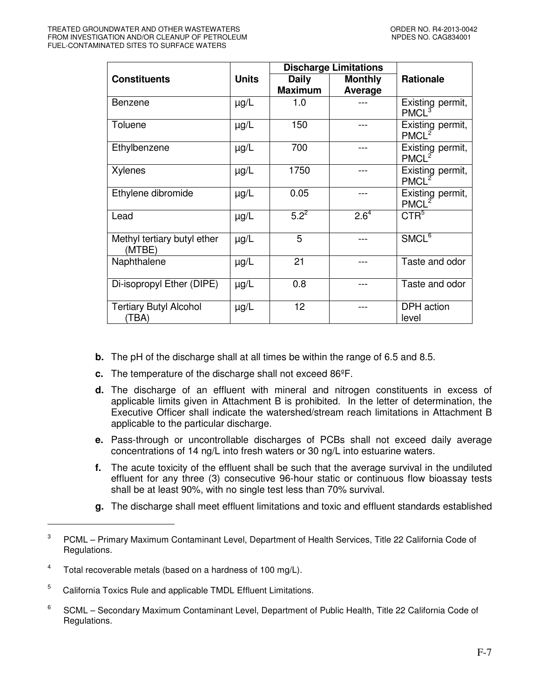|                                        |              |                | <b>Discharge Limitations</b> |                                       |  |
|----------------------------------------|--------------|----------------|------------------------------|---------------------------------------|--|
| <b>Constituents</b>                    | <b>Units</b> | <b>Daily</b>   | <b>Monthly</b>               | <b>Rationale</b>                      |  |
|                                        |              | <b>Maximum</b> | <b>Average</b>               |                                       |  |
| Benzene                                | $\mu$ g/L    | 1.0            |                              | Existing permit,<br>PMCL <sup>3</sup> |  |
| Toluene                                | $\mu$ g/L    | 150            | ---                          | Existing permit,<br>PMCL <sup>2</sup> |  |
| Ethylbenzene                           | µg/L         | 700            |                              | Existing permit,<br>PMCL <sup>2</sup> |  |
| <b>Xylenes</b>                         | $\mu$ g/L    | 1750           |                              | Existing permit,<br>PMCL <sup>2</sup> |  |
| Ethylene dibromide                     | $\mu$ g/L    | 0.05           | ---                          | Existing permit,<br>PMCL <sup>2</sup> |  |
| Lead                                   | $\mu$ g/L    | $5.2^{2}$      | $2.6^{4}$                    | CTR <sup>5</sup>                      |  |
| Methyl tertiary butyl ether<br>(MTBE)  | $\mu$ g/L    | 5              |                              | $S\overline{\text{MCL}^6}$            |  |
| Naphthalene                            | $\mu$ g/L    | 21             |                              | Taste and odor                        |  |
| Di-isopropyl Ether (DIPE)              | $\mu$ g/L    | 0.8            |                              | Taste and odor                        |  |
| <b>Tertiary Butyl Alcohol</b><br>(TBA) | $\mu$ g/L    | 12             |                              | DPH action<br>level                   |  |

- **b.** The pH of the discharge shall at all times be within the range of 6.5 and 8.5.
- **c.** The temperature of the discharge shall not exceed 86ºF.
- **d.** The discharge of an effluent with mineral and nitrogen constituents in excess of applicable limits given in Attachment B is prohibited. In the letter of determination, the Executive Officer shall indicate the watershed/stream reach limitations in Attachment B applicable to the particular discharge.
- **e.** Pass-through or uncontrollable discharges of PCBs shall not exceed daily average concentrations of 14 ng/L into fresh waters or 30 ng/L into estuarine waters.
- **f.** The acute toxicity of the effluent shall be such that the average survival in the undiluted effluent for any three (3) consecutive 96-hour static or continuous flow bioassay tests shall be at least 90%, with no single test less than 70% survival.
- **g.** The discharge shall meet effluent limitations and toxic and effluent standards established

-

<sup>3</sup> PCML – Primary Maximum Contaminant Level, Department of Health Services, Title 22 California Code of Regulations.

<sup>4</sup> Total recoverable metals (based on a hardness of 100 mg/L).

<sup>5</sup> California Toxics Rule and applicable TMDL Effluent Limitations.

<sup>6</sup> SCML – Secondary Maximum Contaminant Level, Department of Public Health, Title 22 California Code of Regulations.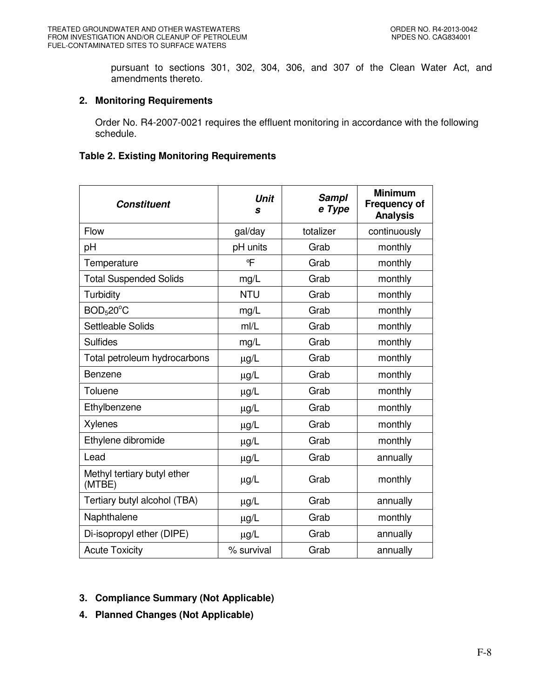pursuant to sections 301, 302, 304, 306, and 307 of the Clean Water Act, and amendments thereto.

## **2. Monitoring Requirements**

Order No. R4-2007-0021 requires the effluent monitoring in accordance with the following schedule.

## **Table 2. Existing Monitoring Requirements**

| Constituent                           | <b>Unit</b><br>s | <b>Sampl</b><br>e Type | <b>Minimum</b><br><b>Frequency of</b><br><b>Analysis</b> |
|---------------------------------------|------------------|------------------------|----------------------------------------------------------|
| Flow                                  | gal/day          | totalizer              | continuously                                             |
| pH                                    | pH units         | Grab                   | monthly                                                  |
| Temperature                           | ℃                | Grab                   | monthly                                                  |
| <b>Total Suspended Solids</b>         | mg/L             | Grab                   | monthly                                                  |
| Turbidity                             | <b>NTU</b>       | Grab                   | monthly                                                  |
| BOD <sub>5</sub> 20 <sup>o</sup> C    | mg/L             | Grab                   | monthly                                                  |
| Settleable Solids                     | m/L              | Grab                   | monthly                                                  |
| <b>Sulfides</b>                       | mg/L             | Grab                   | monthly                                                  |
| Total petroleum hydrocarbons          | $\mu$ g/L        | Grab                   | monthly                                                  |
| Benzene                               | $\mu g/L$        | Grab                   | monthly                                                  |
| Toluene                               | $\mu$ g/L        | Grab                   | monthly                                                  |
| Ethylbenzene                          | $\mu$ g/L        | Grab                   | monthly                                                  |
| <b>Xylenes</b>                        | $\mu g/L$        | Grab                   | monthly                                                  |
| Ethylene dibromide                    | $\mu$ g/L        | Grab                   | monthly                                                  |
| Lead                                  | $\mu$ g/L        | Grab                   | annually                                                 |
| Methyl tertiary butyl ether<br>(MTBE) | $\mu$ g/L        | Grab                   | monthly                                                  |
| Tertiary butyl alcohol (TBA)          | $\mu g/L$        | Grab                   | annually                                                 |
| Naphthalene                           | $\mu$ g/L        | Grab                   | monthly                                                  |
| Di-isopropyl ether (DIPE)             | $\mu g/L$        | Grab                   | annually                                                 |
| <b>Acute Toxicity</b>                 | % survival       | Grab                   | annually                                                 |

- **3. Compliance Summary (Not Applicable)**
- **4. Planned Changes (Not Applicable)**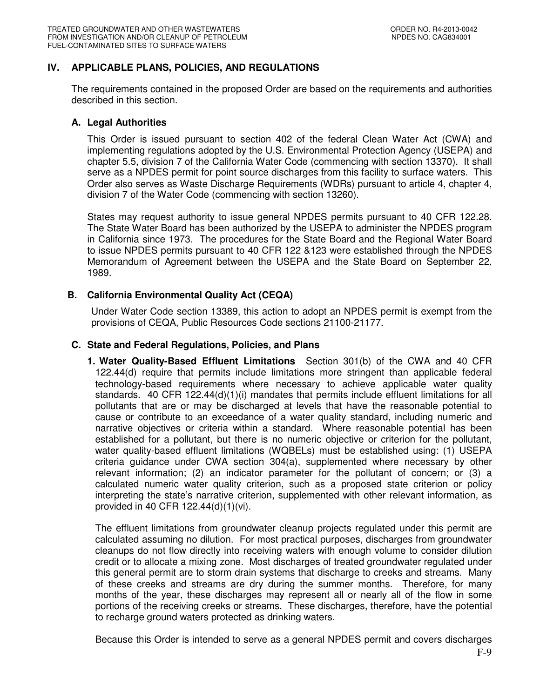## **IV. APPLICABLE PLANS, POLICIES, AND REGULATIONS**

The requirements contained in the proposed Order are based on the requirements and authorities described in this section.

#### **A. Legal Authorities**

This Order is issued pursuant to section 402 of the federal Clean Water Act (CWA) and implementing regulations adopted by the U.S. Environmental Protection Agency (USEPA) and chapter 5.5, division 7 of the California Water Code (commencing with section 13370). It shall serve as a NPDES permit for point source discharges from this facility to surface waters. This Order also serves as Waste Discharge Requirements (WDRs) pursuant to article 4, chapter 4, division 7 of the Water Code (commencing with section 13260).

States may request authority to issue general NPDES permits pursuant to 40 CFR 122.28. The State Water Board has been authorized by the USEPA to administer the NPDES program in California since 1973. The procedures for the State Board and the Regional Water Board to issue NPDES permits pursuant to 40 CFR 122 &123 were established through the NPDES Memorandum of Agreement between the USEPA and the State Board on September 22, 1989.

## **B. California Environmental Quality Act (CEQA)**

Under Water Code section 13389, this action to adopt an NPDES permit is exempt from the provisions of CEQA, Public Resources Code sections 21100-21177.

### **C. State and Federal Regulations, Policies, and Plans**

**1. Water Quality-Based Effluent Limitations** Section 301(b) of the CWA and 40 CFR 122.44(d) require that permits include limitations more stringent than applicable federal technology-based requirements where necessary to achieve applicable water quality standards. 40 CFR 122.44(d)(1)(i) mandates that permits include effluent limitations for all pollutants that are or may be discharged at levels that have the reasonable potential to cause or contribute to an exceedance of a water quality standard, including numeric and narrative objectives or criteria within a standard. Where reasonable potential has been established for a pollutant, but there is no numeric objective or criterion for the pollutant, water quality-based effluent limitations (WQBELs) must be established using: (1) USEPA criteria guidance under CWA section 304(a), supplemented where necessary by other relevant information; (2) an indicator parameter for the pollutant of concern; or (3) a calculated numeric water quality criterion, such as a proposed state criterion or policy interpreting the state's narrative criterion, supplemented with other relevant information, as provided in 40 CFR 122.44(d)(1)(vi).

The effluent limitations from groundwater cleanup projects regulated under this permit are calculated assuming no dilution. For most practical purposes, discharges from groundwater cleanups do not flow directly into receiving waters with enough volume to consider dilution credit or to allocate a mixing zone. Most discharges of treated groundwater regulated under this general permit are to storm drain systems that discharge to creeks and streams. Many of these creeks and streams are dry during the summer months. Therefore, for many months of the year, these discharges may represent all or nearly all of the flow in some portions of the receiving creeks or streams. These discharges, therefore, have the potential to recharge ground waters protected as drinking waters.

Because this Order is intended to serve as a general NPDES permit and covers discharges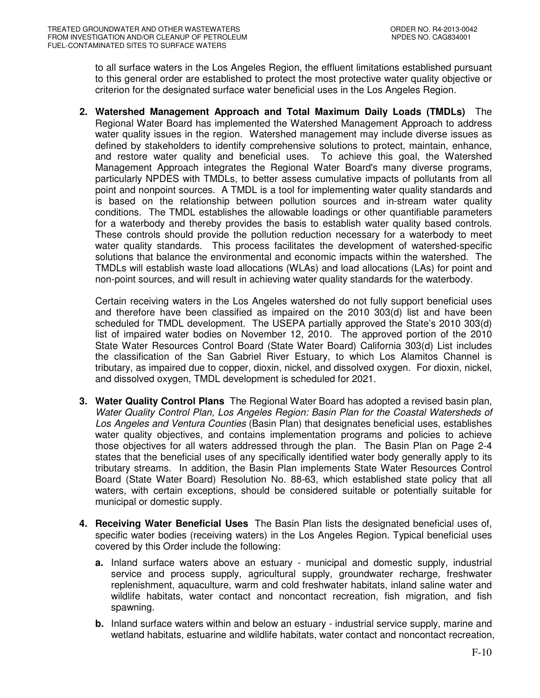to all surface waters in the Los Angeles Region, the effluent limitations established pursuant to this general order are established to protect the most protective water quality objective or criterion for the designated surface water beneficial uses in the Los Angeles Region.

**2. Watershed Management Approach and Total Maximum Daily Loads (TMDLs)** The Regional Water Board has implemented the Watershed Management Approach to address water quality issues in the region. Watershed management may include diverse issues as defined by stakeholders to identify comprehensive solutions to protect, maintain, enhance, and restore water quality and beneficial uses. To achieve this goal, the Watershed Management Approach integrates the Regional Water Board's many diverse programs, particularly NPDES with TMDLs, to better assess cumulative impacts of pollutants from all point and nonpoint sources. A TMDL is a tool for implementing water quality standards and is based on the relationship between pollution sources and in-stream water quality conditions. The TMDL establishes the allowable loadings or other quantifiable parameters for a waterbody and thereby provides the basis to establish water quality based controls. These controls should provide the pollution reduction necessary for a waterbody to meet water quality standards. This process facilitates the development of watershed-specific solutions that balance the environmental and economic impacts within the watershed. The TMDLs will establish waste load allocations (WLAs) and load allocations (LAs) for point and non-point sources, and will result in achieving water quality standards for the waterbody.

Certain receiving waters in the Los Angeles watershed do not fully support beneficial uses and therefore have been classified as impaired on the 2010 303(d) list and have been scheduled for TMDL development. The USEPA partially approved the State's 2010 303(d) list of impaired water bodies on November 12, 2010. The approved portion of the 2010 State Water Resources Control Board (State Water Board) California 303(d) List includes the classification of the San Gabriel River Estuary, to which Los Alamitos Channel is tributary, as impaired due to copper, dioxin, nickel, and dissolved oxygen. For dioxin, nickel, and dissolved oxygen, TMDL development is scheduled for 2021.

- **3. Water Quality Control Plans** The Regional Water Board has adopted a revised basin plan, Water Quality Control Plan, Los Angeles Region: Basin Plan for the Coastal Watersheds of Los Angeles and Ventura Counties (Basin Plan) that designates beneficial uses, establishes water quality objectives, and contains implementation programs and policies to achieve those objectives for all waters addressed through the plan. The Basin Plan on Page 2-4 states that the beneficial uses of any specifically identified water body generally apply to its tributary streams. In addition, the Basin Plan implements State Water Resources Control Board (State Water Board) Resolution No. 88-63, which established state policy that all waters, with certain exceptions, should be considered suitable or potentially suitable for municipal or domestic supply.
- **4. Receiving Water Beneficial Uses** The Basin Plan lists the designated beneficial uses of, specific water bodies (receiving waters) in the Los Angeles Region. Typical beneficial uses covered by this Order include the following:
	- **a.** Inland surface waters above an estuary municipal and domestic supply, industrial service and process supply, agricultural supply, groundwater recharge, freshwater replenishment, aquaculture, warm and cold freshwater habitats, inland saline water and wildlife habitats, water contact and noncontact recreation, fish migration, and fish spawning.
	- **b.** Inland surface waters within and below an estuary industrial service supply, marine and wetland habitats, estuarine and wildlife habitats, water contact and noncontact recreation,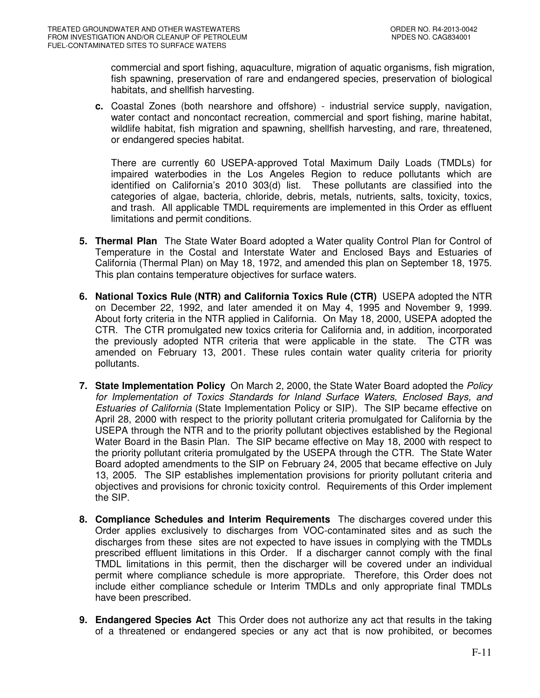commercial and sport fishing, aquaculture, migration of aquatic organisms, fish migration, fish spawning, preservation of rare and endangered species, preservation of biological habitats, and shellfish harvesting.

**c.** Coastal Zones (both nearshore and offshore) - industrial service supply, navigation, water contact and noncontact recreation, commercial and sport fishing, marine habitat, wildlife habitat, fish migration and spawning, shellfish harvesting, and rare, threatened, or endangered species habitat.

There are currently 60 USEPA-approved Total Maximum Daily Loads (TMDLs) for impaired waterbodies in the Los Angeles Region to reduce pollutants which are identified on California's 2010 303(d) list. These pollutants are classified into the categories of algae, bacteria, chloride, debris, metals, nutrients, salts, toxicity, toxics, and trash. All applicable TMDL requirements are implemented in this Order as effluent limitations and permit conditions.

- **5. Thermal Plan** The State Water Board adopted a Water quality Control Plan for Control of Temperature in the Costal and Interstate Water and Enclosed Bays and Estuaries of California (Thermal Plan) on May 18, 1972, and amended this plan on September 18, 1975. This plan contains temperature objectives for surface waters.
- **6. National Toxics Rule (NTR) and California Toxics Rule (CTR)** USEPA adopted the NTR on December 22, 1992, and later amended it on May 4, 1995 and November 9, 1999. About forty criteria in the NTR applied in California. On May 18, 2000, USEPA adopted the CTR. The CTR promulgated new toxics criteria for California and, in addition, incorporated the previously adopted NTR criteria that were applicable in the state. The CTR was amended on February 13, 2001. These rules contain water quality criteria for priority pollutants.
- **7. State Implementation Policy** On March 2, 2000, the State Water Board adopted the Policy for Implementation of Toxics Standards for Inland Surface Waters, Enclosed Bays, and Estuaries of California (State Implementation Policy or SIP). The SIP became effective on April 28, 2000 with respect to the priority pollutant criteria promulgated for California by the USEPA through the NTR and to the priority pollutant objectives established by the Regional Water Board in the Basin Plan. The SIP became effective on May 18, 2000 with respect to the priority pollutant criteria promulgated by the USEPA through the CTR. The State Water Board adopted amendments to the SIP on February 24, 2005 that became effective on July 13, 2005. The SIP establishes implementation provisions for priority pollutant criteria and objectives and provisions for chronic toxicity control. Requirements of this Order implement the SIP.
- **8. Compliance Schedules and Interim Requirements** The discharges covered under this Order applies exclusively to discharges from VOC-contaminated sites and as such the discharges from these sites are not expected to have issues in complying with the TMDLs prescribed effluent limitations in this Order. If a discharger cannot comply with the final TMDL limitations in this permit, then the discharger will be covered under an individual permit where compliance schedule is more appropriate. Therefore, this Order does not include either compliance schedule or Interim TMDLs and only appropriate final TMDLs have been prescribed.
- **9. Endangered Species Act** This Order does not authorize any act that results in the taking of a threatened or endangered species or any act that is now prohibited, or becomes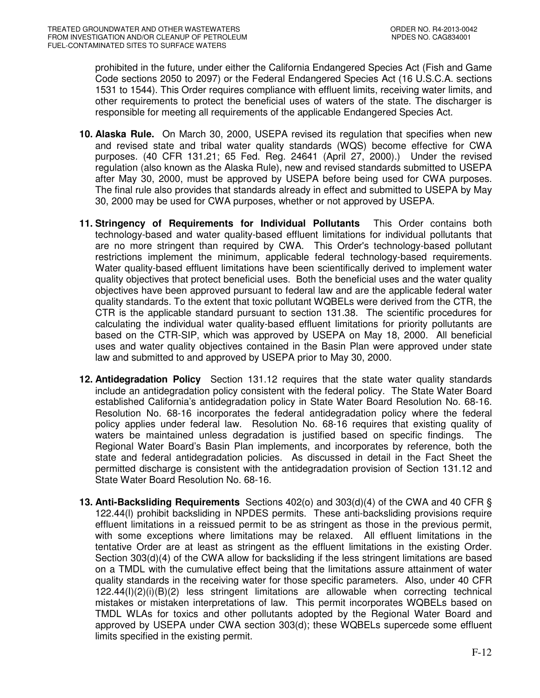prohibited in the future, under either the California Endangered Species Act (Fish and Game Code sections 2050 to 2097) or the Federal Endangered Species Act (16 U.S.C.A. sections 1531 to 1544). This Order requires compliance with effluent limits, receiving water limits, and other requirements to protect the beneficial uses of waters of the state. The discharger is responsible for meeting all requirements of the applicable Endangered Species Act.

- **10. Alaska Rule.** On March 30, 2000, USEPA revised its regulation that specifies when new and revised state and tribal water quality standards (WQS) become effective for CWA purposes. (40 CFR 131.21; 65 Fed. Reg. 24641 (April 27, 2000).) Under the revised regulation (also known as the Alaska Rule), new and revised standards submitted to USEPA after May 30, 2000, must be approved by USEPA before being used for CWA purposes. The final rule also provides that standards already in effect and submitted to USEPA by May 30, 2000 may be used for CWA purposes, whether or not approved by USEPA.
- **11. Stringency of Requirements for Individual Pollutants** This Order contains both technology-based and water quality-based effluent limitations for individual pollutants that are no more stringent than required by CWA. This Order's technology-based pollutant restrictions implement the minimum, applicable federal technology-based requirements. Water quality-based effluent limitations have been scientifically derived to implement water quality objectives that protect beneficial uses. Both the beneficial uses and the water quality objectives have been approved pursuant to federal law and are the applicable federal water quality standards. To the extent that toxic pollutant WQBELs were derived from the CTR, the CTR is the applicable standard pursuant to section 131.38. The scientific procedures for calculating the individual water quality-based effluent limitations for priority pollutants are based on the CTR-SIP, which was approved by USEPA on May 18, 2000. All beneficial uses and water quality objectives contained in the Basin Plan were approved under state law and submitted to and approved by USEPA prior to May 30, 2000.
- **12. Antidegradation Policy** Section 131.12 requires that the state water quality standards include an antidegradation policy consistent with the federal policy. The State Water Board established California's antidegradation policy in State Water Board Resolution No. 68-16. Resolution No. 68-16 incorporates the federal antidegradation policy where the federal policy applies under federal law. Resolution No. 68-16 requires that existing quality of waters be maintained unless degradation is justified based on specific findings. The Regional Water Board's Basin Plan implements, and incorporates by reference, both the state and federal antidegradation policies. As discussed in detail in the Fact Sheet the permitted discharge is consistent with the antidegradation provision of Section 131.12 and State Water Board Resolution No. 68-16.
- **13. Anti-Backsliding Requirements** Sections 402(o) and 303(d)(4) of the CWA and 40 CFR § 122.44(l) prohibit backsliding in NPDES permits. These anti-backsliding provisions require effluent limitations in a reissued permit to be as stringent as those in the previous permit, with some exceptions where limitations may be relaxed. All effluent limitations in the tentative Order are at least as stringent as the effluent limitations in the existing Order. Section 303(d)(4) of the CWA allow for backsliding if the less stringent limitations are based on a TMDL with the cumulative effect being that the limitations assure attainment of water quality standards in the receiving water for those specific parameters. Also, under 40 CFR 122.44(I)(2)(i)(B)(2) less stringent limitations are allowable when correcting technical mistakes or mistaken interpretations of law. This permit incorporates WQBELs based on TMDL WLAs for toxics and other pollutants adopted by the Regional Water Board and approved by USEPA under CWA section 303(d); these WQBELs supercede some effluent limits specified in the existing permit.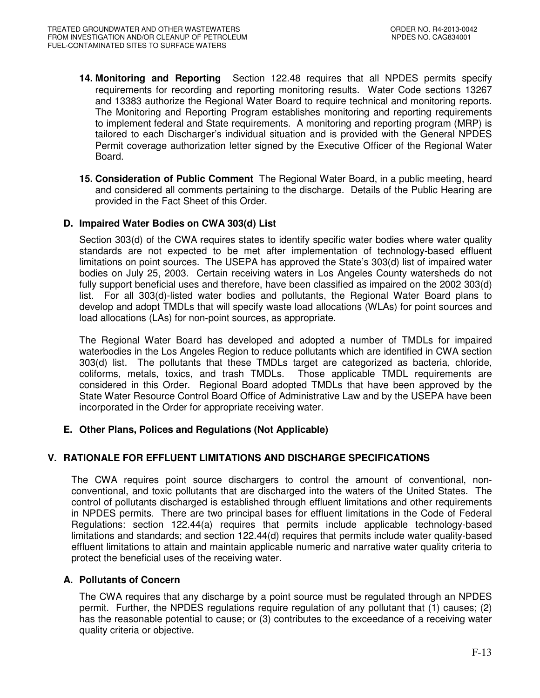- **14. Monitoring and Reporting** Section 122.48 requires that all NPDES permits specify requirements for recording and reporting monitoring results. Water Code sections 13267 and 13383 authorize the Regional Water Board to require technical and monitoring reports. The Monitoring and Reporting Program establishes monitoring and reporting requirements to implement federal and State requirements. A monitoring and reporting program (MRP) is tailored to each Discharger's individual situation and is provided with the General NPDES Permit coverage authorization letter signed by the Executive Officer of the Regional Water Board.
- **15. Consideration of Public Comment** The Regional Water Board, in a public meeting, heard and considered all comments pertaining to the discharge. Details of the Public Hearing are provided in the Fact Sheet of this Order.

## **D. Impaired Water Bodies on CWA 303(d) List**

Section 303(d) of the CWA requires states to identify specific water bodies where water quality standards are not expected to be met after implementation of technology-based effluent limitations on point sources. The USEPA has approved the State's 303(d) list of impaired water bodies on July 25, 2003. Certain receiving waters in Los Angeles County watersheds do not fully support beneficial uses and therefore, have been classified as impaired on the 2002 303(d) list. For all 303(d)-listed water bodies and pollutants, the Regional Water Board plans to develop and adopt TMDLs that will specify waste load allocations (WLAs) for point sources and load allocations (LAs) for non-point sources, as appropriate.

The Regional Water Board has developed and adopted a number of TMDLs for impaired waterbodies in the Los Angeles Region to reduce pollutants which are identified in CWA section 303(d) list. The pollutants that these TMDLs target are categorized as bacteria, chloride, coliforms, metals, toxics, and trash TMDLs. Those applicable TMDL requirements are considered in this Order. Regional Board adopted TMDLs that have been approved by the State Water Resource Control Board Office of Administrative Law and by the USEPA have been incorporated in the Order for appropriate receiving water.

## **E. Other Plans, Polices and Regulations (Not Applicable)**

# **V. RATIONALE FOR EFFLUENT LIMITATIONS AND DISCHARGE SPECIFICATIONS**

The CWA requires point source dischargers to control the amount of conventional, nonconventional, and toxic pollutants that are discharged into the waters of the United States. The control of pollutants discharged is established through effluent limitations and other requirements in NPDES permits. There are two principal bases for effluent limitations in the Code of Federal Regulations: section 122.44(a) requires that permits include applicable technology-based limitations and standards; and section 122.44(d) requires that permits include water quality-based effluent limitations to attain and maintain applicable numeric and narrative water quality criteria to protect the beneficial uses of the receiving water.

## **A. Pollutants of Concern**

The CWA requires that any discharge by a point source must be regulated through an NPDES permit. Further, the NPDES regulations require regulation of any pollutant that (1) causes; (2) has the reasonable potential to cause; or (3) contributes to the exceedance of a receiving water quality criteria or objective.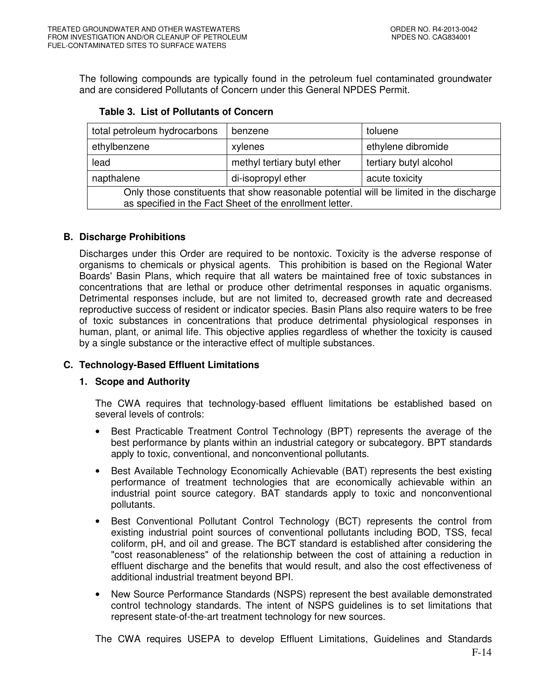The following compounds are typically found in the petroleum fuel contaminated groundwater and are considered Pollutants of Concern under this General NPDES Permit.

| total petroleum hydrocarbons                                                            | benzene                     | toluene                |  |  |  |  |  |
|-----------------------------------------------------------------------------------------|-----------------------------|------------------------|--|--|--|--|--|
| ethylbenzene                                                                            | xylenes                     | ethylene dibromide     |  |  |  |  |  |
| lead                                                                                    | methyl tertiary butyl ether | tertiary butyl alcohol |  |  |  |  |  |
| napthalene                                                                              | di-isopropyl ether          | acute toxicity         |  |  |  |  |  |
| Only those constituents that show reasonable potential will be limited in the discharge |                             |                        |  |  |  |  |  |
| as specified in the Fact Sheet of the enrollment letter.                                |                             |                        |  |  |  |  |  |

## **Table 3. List of Pollutants of Concern**

## **B. Discharge Prohibitions**

Discharges under this Order are required to be nontoxic. Toxicity is the adverse response of organisms to chemicals or physical agents. This prohibition is based on the Regional Water Boards' Basin Plans, which require that all waters be maintained free of toxic substances in concentrations that are lethal or produce other detrimental responses in aquatic organisms. Detrimental responses include, but are not limited to, decreased growth rate and decreased reproductive success of resident or indicator species. Basin Plans also require waters to be free of toxic substances in concentrations that produce detrimental physiological responses in human, plant, or animal life. This objective applies regardless of whether the toxicity is caused by a single substance or the interactive effect of multiple substances.

## **C. Technology-Based Effluent Limitations**

## **1. Scope and Authority**

The CWA requires that technology-based effluent limitations be established based on several levels of controls:

- Best Practicable Treatment Control Technology (BPT) represents the average of the best performance by plants within an industrial category or subcategory. BPT standards apply to toxic, conventional, and nonconventional pollutants.
- Best Available Technology Economically Achievable (BAT) represents the best existing performance of treatment technologies that are economically achievable within an industrial point source category. BAT standards apply to toxic and nonconventional pollutants.
- Best Conventional Pollutant Control Technology (BCT) represents the control from existing industrial point sources of conventional pollutants including BOD, TSS, fecal coliform, pH, and oil and grease. The BCT standard is established after considering the "cost reasonableness" of the relationship between the cost of attaining a reduction in effluent discharge and the benefits that would result, and also the cost effectiveness of additional industrial treatment beyond BPI.
- New Source Performance Standards (NSPS) represent the best available demonstrated control technology standards. The intent of NSPS guidelines is to set limitations that represent state-of-the-art treatment technology for new sources.

The CWA requires USEPA to develop Effluent Limitations, Guidelines and Standards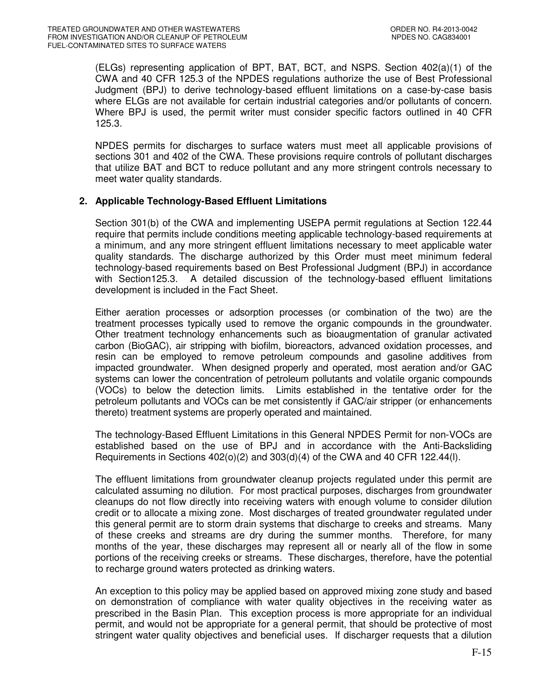(ELGs) representing application of BPT, BAT, BCT, and NSPS. Section 402(a)(1) of the CWA and 40 CFR 125.3 of the NPDES regulations authorize the use of Best Professional Judgment (BPJ) to derive technology-based effluent limitations on a case-by-case basis where ELGs are not available for certain industrial categories and/or pollutants of concern. Where BPJ is used, the permit writer must consider specific factors outlined in 40 CFR 125.3.

NPDES permits for discharges to surface waters must meet all applicable provisions of sections 301 and 402 of the CWA. These provisions require controls of pollutant discharges that utilize BAT and BCT to reduce pollutant and any more stringent controls necessary to meet water quality standards.

## **2. Applicable Technology-Based Effluent Limitations**

Section 301(b) of the CWA and implementing USEPA permit regulations at Section 122.44 require that permits include conditions meeting applicable technology-based requirements at a minimum, and any more stringent effluent limitations necessary to meet applicable water quality standards. The discharge authorized by this Order must meet minimum federal technology-based requirements based on Best Professional Judgment (BPJ) in accordance with Section125.3. A detailed discussion of the technology-based effluent limitations development is included in the Fact Sheet.

Either aeration processes or adsorption processes (or combination of the two) are the treatment processes typically used to remove the organic compounds in the groundwater. Other treatment technology enhancements such as bioaugmentation of granular activated carbon (BioGAC), air stripping with biofilm, bioreactors, advanced oxidation processes, and resin can be employed to remove petroleum compounds and gasoline additives from impacted groundwater. When designed properly and operated, most aeration and/or GAC systems can lower the concentration of petroleum pollutants and volatile organic compounds (VOCs) to below the detection limits. Limits established in the tentative order for the petroleum pollutants and VOCs can be met consistently if GAC/air stripper (or enhancements thereto) treatment systems are properly operated and maintained.

The technology-Based Effluent Limitations in this General NPDES Permit for non-VOCs are established based on the use of BPJ and in accordance with the Anti-Backsliding Requirements in Sections  $402(0)(2)$  and  $303(d)(4)$  of the CWA and 40 CFR 122.44(1).

The effluent limitations from groundwater cleanup projects regulated under this permit are calculated assuming no dilution. For most practical purposes, discharges from groundwater cleanups do not flow directly into receiving waters with enough volume to consider dilution credit or to allocate a mixing zone. Most discharges of treated groundwater regulated under this general permit are to storm drain systems that discharge to creeks and streams. Many of these creeks and streams are dry during the summer months. Therefore, for many months of the year, these discharges may represent all or nearly all of the flow in some portions of the receiving creeks or streams. These discharges, therefore, have the potential to recharge ground waters protected as drinking waters.

An exception to this policy may be applied based on approved mixing zone study and based on demonstration of compliance with water quality objectives in the receiving water as prescribed in the Basin Plan. This exception process is more appropriate for an individual permit, and would not be appropriate for a general permit, that should be protective of most stringent water quality objectives and beneficial uses. If discharger requests that a dilution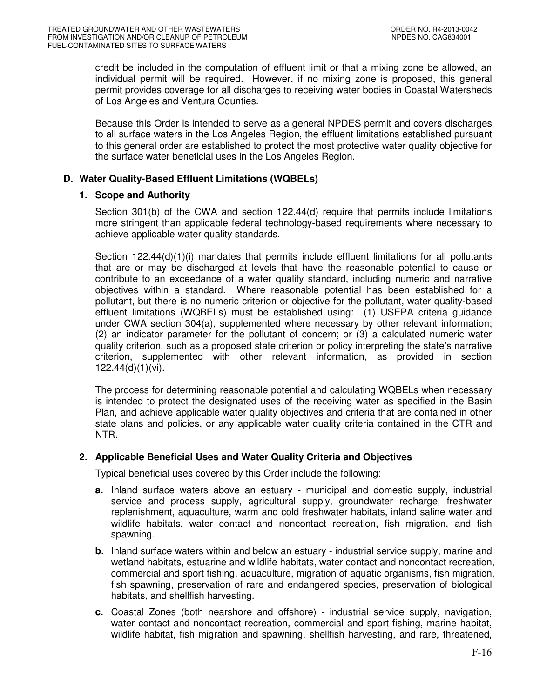credit be included in the computation of effluent limit or that a mixing zone be allowed, an individual permit will be required. However, if no mixing zone is proposed, this general permit provides coverage for all discharges to receiving water bodies in Coastal Watersheds of Los Angeles and Ventura Counties.

Because this Order is intended to serve as a general NPDES permit and covers discharges to all surface waters in the Los Angeles Region, the effluent limitations established pursuant to this general order are established to protect the most protective water quality objective for the surface water beneficial uses in the Los Angeles Region.

## **D. Water Quality-Based Effluent Limitations (WQBELs)**

## **1. Scope and Authority**

Section 301(b) of the CWA and section 122.44(d) require that permits include limitations more stringent than applicable federal technology-based requirements where necessary to achieve applicable water quality standards.

Section 122.44(d)(1)(i) mandates that permits include effluent limitations for all pollutants that are or may be discharged at levels that have the reasonable potential to cause or contribute to an exceedance of a water quality standard, including numeric and narrative objectives within a standard. Where reasonable potential has been established for a pollutant, but there is no numeric criterion or objective for the pollutant, water quality-based effluent limitations (WQBELs) must be established using: (1) USEPA criteria guidance under CWA section 304(a), supplemented where necessary by other relevant information; (2) an indicator parameter for the pollutant of concern; or (3) a calculated numeric water quality criterion, such as a proposed state criterion or policy interpreting the state's narrative criterion, supplemented with other relevant information, as provided in section 122.44(d)(1)(vi).

The process for determining reasonable potential and calculating WQBELs when necessary is intended to protect the designated uses of the receiving water as specified in the Basin Plan, and achieve applicable water quality objectives and criteria that are contained in other state plans and policies, or any applicable water quality criteria contained in the CTR and NTR.

## **2. Applicable Beneficial Uses and Water Quality Criteria and Objectives**

Typical beneficial uses covered by this Order include the following:

- **a.** Inland surface waters above an estuary municipal and domestic supply, industrial service and process supply, agricultural supply, groundwater recharge, freshwater replenishment, aquaculture, warm and cold freshwater habitats, inland saline water and wildlife habitats, water contact and noncontact recreation, fish migration, and fish spawning.
- **b.** Inland surface waters within and below an estuary industrial service supply, marine and wetland habitats, estuarine and wildlife habitats, water contact and noncontact recreation, commercial and sport fishing, aquaculture, migration of aquatic organisms, fish migration, fish spawning, preservation of rare and endangered species, preservation of biological habitats, and shellfish harvesting.
- **c.** Coastal Zones (both nearshore and offshore) industrial service supply, navigation, water contact and noncontact recreation, commercial and sport fishing, marine habitat, wildlife habitat, fish migration and spawning, shellfish harvesting, and rare, threatened,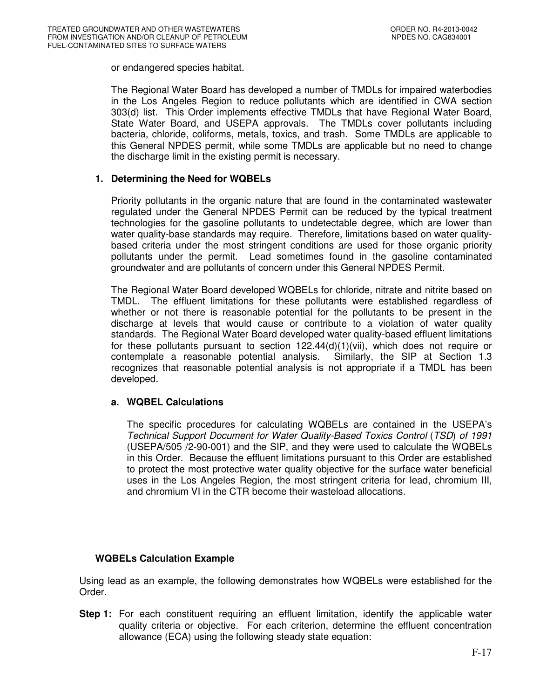or endangered species habitat.

The Regional Water Board has developed a number of TMDLs for impaired waterbodies in the Los Angeles Region to reduce pollutants which are identified in CWA section 303(d) list. This Order implements effective TMDLs that have Regional Water Board, State Water Board, and USEPA approvals. The TMDLs cover pollutants including bacteria, chloride, coliforms, metals, toxics, and trash. Some TMDLs are applicable to this General NPDES permit, while some TMDLs are applicable but no need to change the discharge limit in the existing permit is necessary.

## **1. Determining the Need for WQBELs**

Priority pollutants in the organic nature that are found in the contaminated wastewater regulated under the General NPDES Permit can be reduced by the typical treatment technologies for the gasoline pollutants to undetectable degree, which are lower than water quality-base standards may require. Therefore, limitations based on water qualitybased criteria under the most stringent conditions are used for those organic priority pollutants under the permit. Lead sometimes found in the gasoline contaminated groundwater and are pollutants of concern under this General NPDES Permit.

The Regional Water Board developed WQBELs for chloride, nitrate and nitrite based on TMDL. The effluent limitations for these pollutants were established regardless of whether or not there is reasonable potential for the pollutants to be present in the discharge at levels that would cause or contribute to a violation of water quality standards. The Regional Water Board developed water quality-based effluent limitations for these pollutants pursuant to section  $122.44(d)(1)(vii)$ , which does not require or contemplate a reasonable potential analysis. Similarly, the SIP at Section 1.3 contemplate a reasonable potential analysis. recognizes that reasonable potential analysis is not appropriate if a TMDL has been developed.

## **a. WQBEL Calculations**

The specific procedures for calculating WQBELs are contained in the USEPA's Technical Support Document for Water Quality-Based Toxics Control (TSD) of 1991 (USEPA/505 /2-90-001) and the SIP, and they were used to calculate the WQBELs in this Order. Because the effluent limitations pursuant to this Order are established to protect the most protective water quality objective for the surface water beneficial uses in the Los Angeles Region, the most stringent criteria for lead, chromium III, and chromium VI in the CTR become their wasteload allocations.

# **WQBELs Calculation Example**

Using lead as an example, the following demonstrates how WQBELs were established for the Order.

**Step 1:** For each constituent requiring an effluent limitation, identify the applicable water quality criteria or objective. For each criterion, determine the effluent concentration allowance (ECA) using the following steady state equation: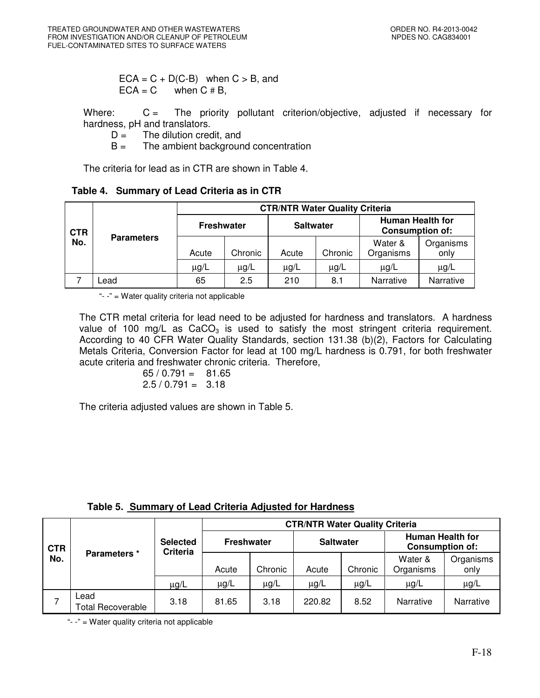$ECA = C + D(C-B)$  when  $C > B$ , and  $ECA = C$  when  $C \# B$ ,

Where: C = The priority pollutant criterion/objective, adjusted if necessary for hardness, pH and translators.

 $D =$  The dilution credit, and

 $B =$  The ambient background concentration

The criteria for lead as in CTR are shown in Table 4.

**Table 4. Summary of Lead Criteria as in CTR** 

| <b>CTR</b><br>No. |                   | <b>CTR/NTR Water Quality Criteria</b> |           |                  |           |                                                   |                   |  |  |
|-------------------|-------------------|---------------------------------------|-----------|------------------|-----------|---------------------------------------------------|-------------------|--|--|
|                   | <b>Parameters</b> | <b>Freshwater</b>                     |           | <b>Saltwater</b> |           | <b>Human Health for</b><br><b>Consumption of:</b> |                   |  |  |
|                   |                   | Acute                                 | Chronic   | Acute            | Chronic   | Water &<br>Organisms                              | Organisms<br>only |  |  |
|                   |                   | $\mu$ g/L                             | $\mu$ g/L | $\mu$ g/L        | $\mu$ g/L | $\mu$ g/L                                         | μg/L              |  |  |
|                   | Lead              | 65                                    | 2.5       | 210              | 8.1       | Narrative                                         | <b>Narrative</b>  |  |  |

"- -" = Water quality criteria not applicable

The CTR metal criteria for lead need to be adjusted for hardness and translators. A hardness value of 100 mg/L as  $CaCO<sub>3</sub>$  is used to satisfy the most stringent criteria requirement. According to 40 CFR Water Quality Standards, section 131.38 (b)(2), Factors for Calculating Metals Criteria, Conversion Factor for lead at 100 mg/L hardness is 0.791, for both freshwater acute criteria and freshwater chronic criteria. Therefore,

$$
\begin{array}{rcl} 65 / 0.791 & = & 81.65 \\ 2.5 / 0.791 & = & 3.18 \end{array}
$$

The criteria adjusted values are shown in Table 5.

| Table 5. Summary of Lead Criteria Adjusted for Hardness |
|---------------------------------------------------------|
|---------------------------------------------------------|

| <b>CTR</b><br>No. |                                  |                             | <b>CTR/NTR Water Quality Criteria</b> |           |                  |           |                                                   |                   |  |
|-------------------|----------------------------------|-----------------------------|---------------------------------------|-----------|------------------|-----------|---------------------------------------------------|-------------------|--|
|                   |                                  | <b>Selected</b><br>Criteria | <b>Freshwater</b>                     |           | <b>Saltwater</b> |           | <b>Human Health for</b><br><b>Consumption of:</b> |                   |  |
|                   | Parameters *                     |                             | Acute                                 | Chronic   | Acute            | Chronic   | Water &<br>Organisms                              | Organisms<br>only |  |
|                   |                                  | $\mu$ g/L                   | $\mu$ g/L                             | $\mu$ g/L | $\mu$ g/L        | $\mu$ g/L | $\mu$ g/L                                         | $\mu$ g/L         |  |
|                   | Lead<br><b>Total Recoverable</b> | 3.18                        | 81.65                                 | 3.18      | 220.82           | 8.52      | Narrative                                         | Narrative         |  |

"- -" = Water quality criteria not applicable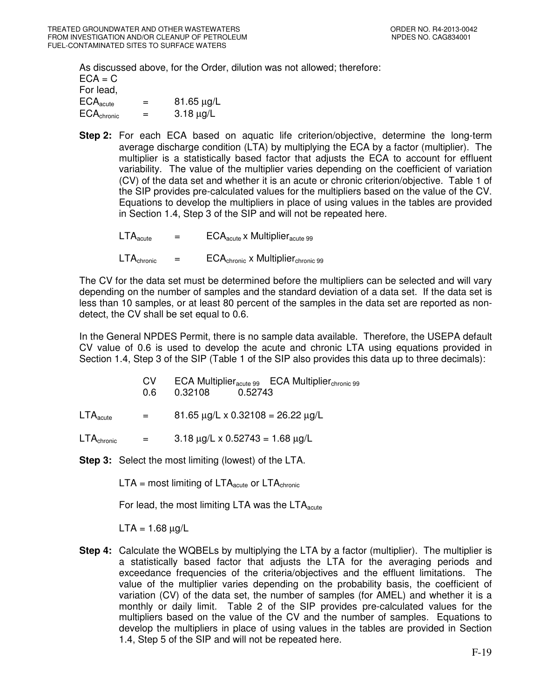As discussed above, for the Order, dilution was not allowed; therefore:  $ECA = C$ For lead,  $ECA_{\text{acute}}$  =  $81.65 \,\mu\text{g/L}$ <br> $ECA_{\text{chromic}}$  =  $3.18 \,\mu\text{g/L}$  $ECA_{\text{chronic}}$  =

**Step 2:** For each ECA based on aquatic life criterion/objective, determine the long-term average discharge condition (LTA) by multiplying the ECA by a factor (multiplier). The multiplier is a statistically based factor that adjusts the ECA to account for effluent variability. The value of the multiplier varies depending on the coefficient of variation (CV) of the data set and whether it is an acute or chronic criterion/objective. Table 1 of the SIP provides pre-calculated values for the multipliers based on the value of the CV. Equations to develop the multipliers in place of using values in the tables are provided in Section 1.4, Step 3 of the SIP and will not be repeated here.

 $LTA_{\text{acute}} = ECA_{\text{acute}} \times \text{Multiplier}_{\text{acute}}$ 

 $LTA_{\text{chronic}} = ECA_{\text{chronic}} \times \text{Multiplier}_{\text{chronic}}$  99

The CV for the data set must be determined before the multipliers can be selected and will vary depending on the number of samples and the standard deviation of a data set. If the data set is less than 10 samples, or at least 80 percent of the samples in the data set are reported as nondetect, the CV shall be set equal to 0.6.

In the General NPDES Permit, there is no sample data available. Therefore, the USEPA default CV value of 0.6 is used to develop the acute and chronic LTA using equations provided in Section 1.4, Step 3 of the SIP (Table 1 of the SIP also provides this data up to three decimals):

|                               | CV.<br>0.6 L | $ECA$ Multiplier <sub>acute 99</sub> $ECA$ Multiplier <sub>chronic</sub> 99<br>0.32108 0.52743 |
|-------------------------------|--------------|------------------------------------------------------------------------------------------------|
| $\mathsf{LTA}_\mathsf{acute}$ | $=$ $-$      | $81.65 \mu g/L \times 0.32108 = 26.22 \mu g/L$                                                 |

 $LTA_{\text{chronic}} = 3.18 \mu g/L \times 0.52743 = 1.68 \mu g/L$ 

**Step 3:** Select the most limiting (lowest) of the LTA.

 $LTA$  = most limiting of  $LTA<sub>acute</sub>$  or  $LTA<sub>chronic</sub>$ 

For lead, the most limiting LTA was the  $LTA_{\text{acute}}$ 

 $LTA = 1.68 \mu g/L$ 

**Step 4:** Calculate the WQBELs by multiplying the LTA by a factor (multiplier). The multiplier is a statistically based factor that adjusts the LTA for the averaging periods and exceedance frequencies of the criteria/objectives and the effluent limitations. The value of the multiplier varies depending on the probability basis, the coefficient of variation (CV) of the data set, the number of samples (for AMEL) and whether it is a monthly or daily limit. Table 2 of the SIP provides pre-calculated values for the multipliers based on the value of the CV and the number of samples. Equations to develop the multipliers in place of using values in the tables are provided in Section 1.4, Step 5 of the SIP and will not be repeated here.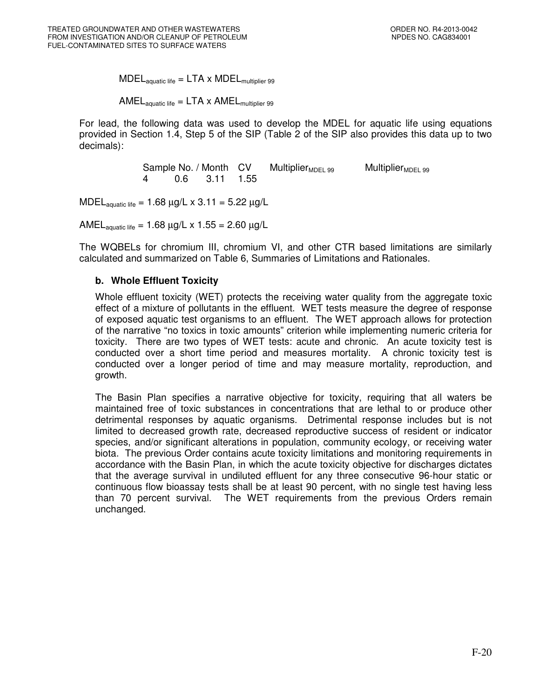$\text{MDEL}_{\text{aquatic life}} = \text{LTA} \times \text{MDEL}_{\text{multiplier 99}}$ 

AMEL $_{\text{aquatic life}} = \text{LTA} \times \text{AMEL}_{\text{multiplier 99}}$ 

For lead, the following data was used to develop the MDEL for aquatic life using equations provided in Section 1.4, Step 5 of the SIP (Table 2 of the SIP also provides this data up to two decimals):

Sample No. / Month  $CV$  Multiplier<sub>MDEL 99</sub> Multiplier<sub>MDEL 99</sub> 4 0.6 3.11 1.55 4 0.6 3.11 1.55

MDEL<sub>aquatic life</sub> = 1.68  $\mu$ g/L x 3.11 = 5.22  $\mu$ g/L

AMEL<sub>aquatic life</sub> = 1.68  $\mu$ g/L x 1.55 = 2.60  $\mu$ g/L

The WQBELs for chromium III, chromium VI, and other CTR based limitations are similarly calculated and summarized on Table 6, Summaries of Limitations and Rationales.

### **b. Whole Effluent Toxicity**

Whole effluent toxicity (WET) protects the receiving water quality from the aggregate toxic effect of a mixture of pollutants in the effluent. WET tests measure the degree of response of exposed aquatic test organisms to an effluent. The WET approach allows for protection of the narrative "no toxics in toxic amounts" criterion while implementing numeric criteria for toxicity. There are two types of WET tests: acute and chronic. An acute toxicity test is conducted over a short time period and measures mortality. A chronic toxicity test is conducted over a longer period of time and may measure mortality, reproduction, and growth.

The Basin Plan specifies a narrative objective for toxicity, requiring that all waters be maintained free of toxic substances in concentrations that are lethal to or produce other detrimental responses by aquatic organisms. Detrimental response includes but is not limited to decreased growth rate, decreased reproductive success of resident or indicator species, and/or significant alterations in population, community ecology, or receiving water biota. The previous Order contains acute toxicity limitations and monitoring requirements in accordance with the Basin Plan, in which the acute toxicity objective for discharges dictates that the average survival in undiluted effluent for any three consecutive 96-hour static or continuous flow bioassay tests shall be at least 90 percent, with no single test having less than 70 percent survival. The WET requirements from the previous Orders remain unchanged.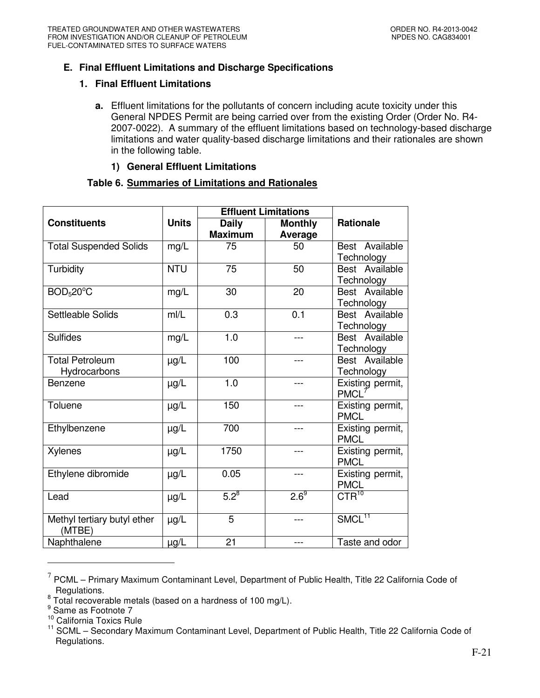# **E. Final Effluent Limitations and Discharge Specifications**

## **1. Final Effluent Limitations**

**a.** Effluent limitations for the pollutants of concern including acute toxicity under this General NPDES Permit are being carried over from the existing Order (Order No. R4- 2007-0022). A summary of the effluent limitations based on technology-based discharge limitations and water quality-based discharge limitations and their rationales are shown in the following table.

## **1) General Effluent Limitations**

## **Table 6. Summaries of Limitations and Rationales**

|                               |                         | <b>Effluent Limitations</b> |                  |                       |
|-------------------------------|-------------------------|-----------------------------|------------------|-----------------------|
| <b>Constituents</b>           | <b>Units</b>            | <b>Daily</b>                | <b>Monthly</b>   | <b>Rationale</b>      |
|                               |                         | <b>Maximum</b>              | Average          |                       |
| <b>Total Suspended Solids</b> | mg/L                    | 75                          | 50               | Best Available        |
|                               |                         |                             |                  | Technology            |
| Turbidity                     | <b>NTU</b>              | 75                          | 50               | Best Available        |
|                               |                         |                             |                  | Technology            |
| BOD <sub>5</sub> 20°C         | mg/L                    | 30                          | 20               | Best Available        |
|                               |                         |                             |                  | Technology            |
| Settleable Solids             | m/L                     | 0.3                         | 0.1              | Best Available        |
|                               |                         |                             |                  | Technology            |
| <b>Sulfides</b>               | mg/L                    | 1.0                         | ---              | Best Available        |
|                               |                         |                             |                  | Technology            |
| <b>Total Petroleum</b>        | $\mu$ g/L               | 100                         | ---              | Best Available        |
| Hydrocarbons                  |                         |                             |                  | Technology            |
| Benzene                       | µg/L                    | 1.0                         | ---              | Existing permit,      |
|                               |                         |                             |                  | <b>PMCL</b>           |
| Toluene                       | $\mu$ g/L               | 150                         | $---$            | Existing permit,      |
|                               |                         |                             |                  | <b>PMCL</b>           |
| Ethylbenzene                  | 700<br>$\mu g/L$<br>--- |                             | Existing permit, |                       |
|                               |                         |                             |                  | <b>PMCL</b>           |
| Xylenes                       | µg/L                    | 1750                        | ---              | Existing permit,      |
|                               |                         |                             |                  | <b>PMCL</b>           |
| Ethylene dibromide            | $\mu$ g/L               | 0.05                        | ---              | Existing permit,      |
|                               |                         |                             |                  | <b>PMCL</b>           |
| Lead                          | µg/L                    | $5.2^{8}$                   | $2.6^9$          | $\overline{CTR}^{10}$ |
|                               |                         |                             |                  |                       |
| Methyl tertiary butyl ether   | $\mu g/L$               | $\overline{5}$              | $---$            | SMCL <sup>11</sup>    |
| (MTBE)                        |                         |                             |                  |                       |
| Naphthalene                   | µg/L                    | 21                          | ---              | Taste and odor        |

 $<sup>7</sup>$  PCML – Primary Maximum Contaminant Level, Department of Public Health, Title 22 California Code of</sup> Regulations.

-

 $8$  Total recoverable metals (based on a hardness of 100 mg/L).

<sup>&</sup>lt;sup>9</sup> Same as Footnote 7

<sup>&</sup>lt;sup>10</sup> California Toxics Rule

<sup>&</sup>lt;sup>11</sup> SCML – Secondary Maximum Contaminant Level, Department of Public Health, Title 22 California Code of Regulations.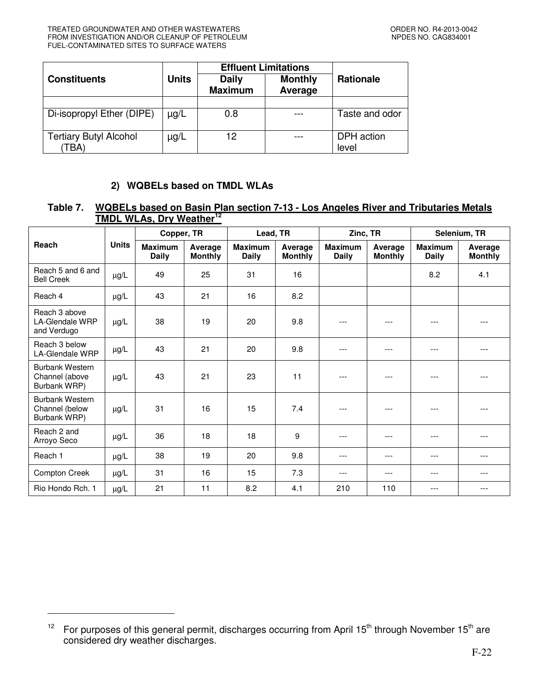-

|                                       |              | <b>Effluent Limitations</b>    |                           |                     |
|---------------------------------------|--------------|--------------------------------|---------------------------|---------------------|
| <b>Constituents</b>                   | <b>Units</b> | <b>Daily</b><br><b>Maximum</b> | <b>Monthly</b><br>Average | <b>Rationale</b>    |
|                                       |              |                                |                           |                     |
| Di-isopropyl Ether (DIPE)             | µg/L         | 0.8                            |                           | Taste and odor      |
| <b>Tertiary Butyl Alcohol</b><br>TBA) | $\mu$ g/L    | 12                             |                           | DPH action<br>level |

# **2) WQBELs based on TMDL WLAs**

# **Table 7. WQBELs based on Basin Plan section 7-13 - Los Angeles River and Tributaries Metals TMDL WLAs, Dry Weather<sup>12</sup>**

|                                                          |              | Copper, TR                     |                           |                                | Lead, TR                  |                                | Zinc, TR                  |                                | Selenium, TR              |  |
|----------------------------------------------------------|--------------|--------------------------------|---------------------------|--------------------------------|---------------------------|--------------------------------|---------------------------|--------------------------------|---------------------------|--|
| Reach                                                    | <b>Units</b> | <b>Maximum</b><br><b>Daily</b> | Average<br><b>Monthly</b> | <b>Maximum</b><br><b>Daily</b> | Average<br><b>Monthly</b> | <b>Maximum</b><br><b>Daily</b> | Average<br><b>Monthly</b> | <b>Maximum</b><br><b>Daily</b> | Average<br><b>Monthly</b> |  |
| Reach 5 and 6 and<br><b>Bell Creek</b>                   | $\mu g/L$    | 49                             | 25                        | 31                             | 16                        |                                |                           | 8.2                            | 4.1                       |  |
| Reach 4                                                  | µg/L         | 43                             | 21                        | 16                             | 8.2                       |                                |                           |                                |                           |  |
| Reach 3 above<br><b>LA-Glendale WRP</b><br>and Verdugo   | µg/L         | 38                             | 19                        | 20                             | 9.8                       | ---                            | ---                       | ---                            |                           |  |
| Reach 3 below<br><b>LA-Glendale WRP</b>                  | $\mu g/L$    | 43                             | 21                        | 20                             | 9.8                       | ---                            | ---                       | ---                            | ---                       |  |
| <b>Burbank Western</b><br>Channel (above<br>Burbank WRP) | µg/L         | 43                             | 21                        | 23                             | 11                        | $- - -$                        | ---                       | ---                            |                           |  |
| Burbank Western<br>Channel (below<br>Burbank WRP)        | µg/L         | 31                             | 16                        | 15                             | 7.4                       | ---                            | ---                       | ---                            |                           |  |
| Reach 2 and<br>Arroyo Seco                               | µg/L         | 36                             | 18                        | 18                             | 9                         | ---                            | ---                       | ---                            |                           |  |
| Reach 1                                                  | µg/L         | 38                             | 19                        | 20                             | 9.8                       | ---                            | ---                       | ---                            | ---                       |  |
| <b>Compton Creek</b>                                     | $\mu g/L$    | 31                             | 16                        | 15                             | 7.3                       | $---$                          | ---                       | ---                            | ---                       |  |
| Rio Hondo Rch. 1                                         | µg/L         | 21                             | 11                        | 8.2                            | 4.1                       | 210                            | 110                       | ---                            | ---                       |  |

<sup>&</sup>lt;sup>12</sup> For purposes of this general permit, discharges occurring from April 15<sup>th</sup> through November 15<sup>th</sup> are considered dry weather discharges.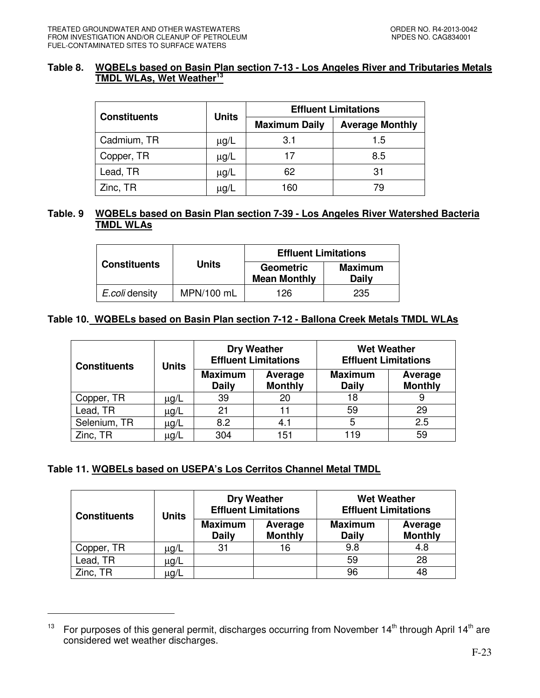## **Table 8. WQBELs based on Basin Plan section 7-13 - Los Angeles River and Tributaries Metals TMDL WLAs, Wet Weather<sup>13</sup>**

|                     | <b>Units</b> | <b>Effluent Limitations</b> |                        |  |  |
|---------------------|--------------|-----------------------------|------------------------|--|--|
| <b>Constituents</b> |              | <b>Maximum Daily</b>        | <b>Average Monthly</b> |  |  |
| Cadmium, TR         | $\mu$ g/L    | 3.1                         | 1.5                    |  |  |
| Copper, TR          | $\mu$ g/L    | 17                          | 8.5                    |  |  |
| Lead, TR            | $\mu$ g/L    | 62                          | 31                     |  |  |
| Zinc, TR            | μg/L         | 160                         | 79                     |  |  |

# **Table. 9 WQBELs based on Basin Plan section 7-39 - Los Angeles River Watershed Bacteria TMDL WLAs**

|                     |              | <b>Effluent Limitations</b>             |                                |
|---------------------|--------------|-----------------------------------------|--------------------------------|
| <b>Constituents</b> | <b>Units</b> | <b>Geometric</b><br><b>Mean Monthly</b> | <b>Maximum</b><br><b>Daily</b> |
| E.coli density      | MPN/100 mL   | 126                                     | 235                            |

## **Table 10. WQBELs based on Basin Plan section 7-12 - Ballona Creek Metals TMDL WLAs**

| <b>Constituents</b> | Units     |                                | <b>Dry Weather</b><br><b>Effluent Limitations</b> | <b>Wet Weather</b><br><b>Effluent Limitations</b> |                           |  |
|---------------------|-----------|--------------------------------|---------------------------------------------------|---------------------------------------------------|---------------------------|--|
|                     |           | <b>Maximum</b><br><b>Daily</b> | Average<br><b>Monthly</b>                         | <b>Maximum</b><br><b>Daily</b>                    | Average<br><b>Monthly</b> |  |
| Copper, TR          | $\mu$ g/L | 39                             | 20                                                | 18                                                |                           |  |
| Lead, TR            | $\mu$ g/L | 21                             |                                                   | 59                                                | 29                        |  |
| Selenium, TR        | $\mu$ g/L | 8.2                            | 4.1                                               | 5                                                 | 2.5                       |  |
| Zinc, TR            | μg/L      | 304                            | 151                                               | 119                                               | 59                        |  |

# **Table 11. WQBELs based on USEPA's Los Cerritos Channel Metal TMDL**

-

| <b>Constituents</b> | Units |                                | <b>Dry Weather</b><br><b>Effluent Limitations</b> | <b>Wet Weather</b><br><b>Effluent Limitations</b> |                           |
|---------------------|-------|--------------------------------|---------------------------------------------------|---------------------------------------------------|---------------------------|
|                     |       | <b>Maximum</b><br><b>Daily</b> | Average<br><b>Monthly</b>                         | <b>Maximum</b><br><b>Daily</b>                    | Average<br><b>Monthly</b> |
| Copper, TR          | μg/L  | 31                             | 16                                                | 9.8                                               | 4.8                       |
| Lead, TR            | μg/L  |                                |                                                   | 59                                                | 28                        |
| Zinc, TR            | μg/L  |                                |                                                   | 96                                                | 48                        |

<sup>&</sup>lt;sup>13</sup> For purposes of this general permit, discharges occurring from November 14<sup>th</sup> through April 14<sup>th</sup> are considered wet weather discharges.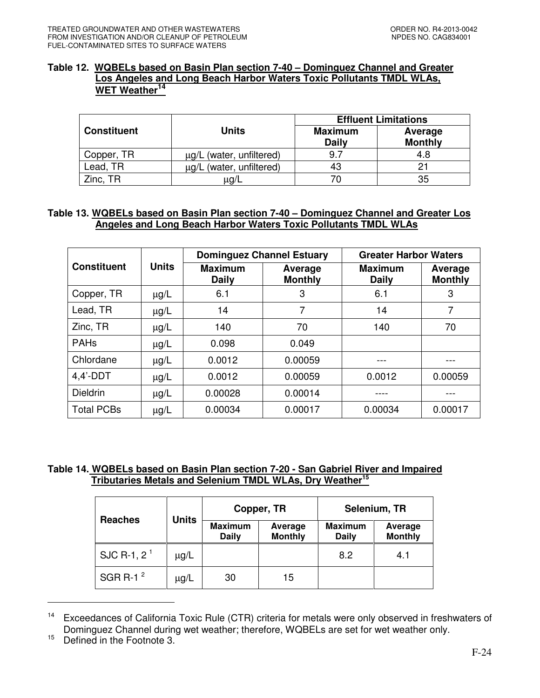## **Table 12. WQBELs based on Basin Plan section 7-40 – Dominguez Channel and Greater Los Angeles and Long Beach Harbor Waters Toxic Pollutants TMDL WLAs, WET Weather<sup>14</sup>**

|                    |                               | <b>Effluent Limitations</b>    |                           |  |  |
|--------------------|-------------------------------|--------------------------------|---------------------------|--|--|
| <b>Constituent</b> | <b>Units</b>                  | <b>Maximum</b><br><b>Daily</b> | Average<br><b>Monthly</b> |  |  |
| Copper, TR         | $\mu$ g/L (water, unfiltered) | 9.7                            | 4.8                       |  |  |
| Lead, TR           | µg/L (water, unfiltered)      | 43                             |                           |  |  |
| Zinc, TR           | μg/L                          |                                | 35                        |  |  |

# **Table 13. WQBELs based on Basin Plan section 7-40 – Dominguez Channel and Greater Los Angeles and Long Beach Harbor Waters Toxic Pollutants TMDL WLAs**

|                    |              | <b>Dominguez Channel Estuary</b> |                           | <b>Greater Harbor Waters</b>   |                           |  |
|--------------------|--------------|----------------------------------|---------------------------|--------------------------------|---------------------------|--|
| <b>Constituent</b> | <b>Units</b> | <b>Maximum</b><br><b>Daily</b>   | Average<br><b>Monthly</b> | <b>Maximum</b><br><b>Daily</b> | Average<br><b>Monthly</b> |  |
| Copper, TR         | $\mu$ g/L    | 6.1                              | 3                         | 6.1                            | 3                         |  |
| Lead, TR           | $\mu$ g/L    | 14                               | 7                         | 14                             | 7                         |  |
| Zinc, TR           | $\mu$ g/L    | 140                              | 70                        | 140                            | 70                        |  |
| <b>PAHs</b>        | $\mu$ g/L    | 0.098                            | 0.049                     |                                |                           |  |
| Chlordane          | $\mu$ g/L    | 0.0012                           | 0.00059                   |                                |                           |  |
| $4.4'$ -DDT        | $\mu$ g/L    | 0.0012                           | 0.00059                   | 0.0012                         | 0.00059                   |  |
| <b>Dieldrin</b>    | $\mu$ g/L    | 0.00028                          | 0.00014                   |                                |                           |  |
| <b>Total PCBs</b>  | $\mu$ g/L    | 0.00034                          | 0.00017                   | 0.00034                        | 0.00017                   |  |

## **Table 14. WQBELs based on Basin Plan section 7-20 - San Gabriel River and Impaired Tributaries Metals and Selenium TMDL WLAs, Dry Weather<sup>15</sup>**

| <b>Reaches</b> |           | Copper, TR<br><b>Units</b>     |                           |                                | Selenium, TR              |  |  |
|----------------|-----------|--------------------------------|---------------------------|--------------------------------|---------------------------|--|--|
|                |           | <b>Maximum</b><br><b>Daily</b> | Average<br><b>Monthly</b> | <b>Maximum</b><br><b>Daily</b> | Average<br><b>Monthly</b> |  |  |
| SJC R-1, $2^1$ | $\mu$ g/L |                                |                           | 8.2                            | 4.1                       |  |  |
| SGR R-1 $2$    | $\mu$ g/L | 30                             | 15                        |                                |                           |  |  |

<sup>&</sup>lt;sup>14</sup> Exceedances of California Toxic Rule (CTR) criteria for metals were only observed in freshwaters of Dominguez Channel during wet weather; therefore, WQBELs are set for wet weather only.

-

<sup>&</sup>lt;sup>15</sup> Defined in the Footnote 3.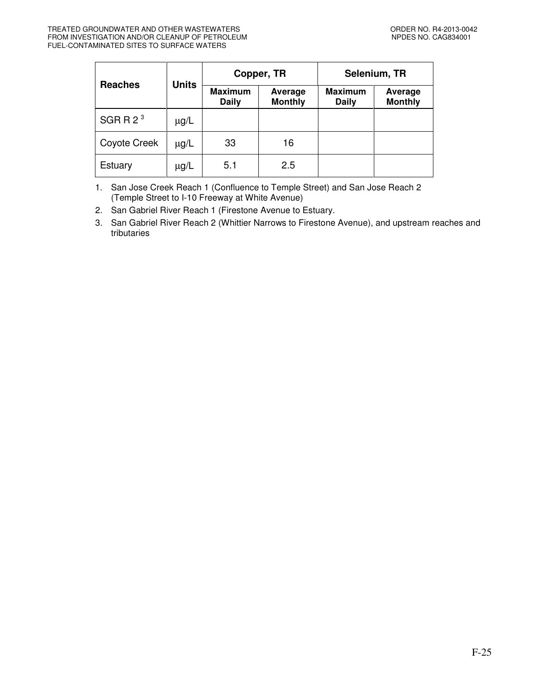| <b>Reaches</b> | <b>Units</b> |                                | Copper, TR                | Selenium, TR                   |                           |  |
|----------------|--------------|--------------------------------|---------------------------|--------------------------------|---------------------------|--|
|                |              | <b>Maximum</b><br><b>Daily</b> | Average<br><b>Monthly</b> | <b>Maximum</b><br><b>Daily</b> | Average<br><b>Monthly</b> |  |
| SGRR $23$      | $\mu$ g/L    |                                |                           |                                |                           |  |
| Coyote Creek   | $\mu$ g/L    | 33                             | 16                        |                                |                           |  |
| Estuary        | $\mu$ g/L    | 5.1                            | 2.5                       |                                |                           |  |

1. San Jose Creek Reach 1 (Confluence to Temple Street) and San Jose Reach 2 (Temple Street to I-10 Freeway at White Avenue)

2. San Gabriel River Reach 1 (Firestone Avenue to Estuary.

3. San Gabriel River Reach 2 (Whittier Narrows to Firestone Avenue), and upstream reaches and tributaries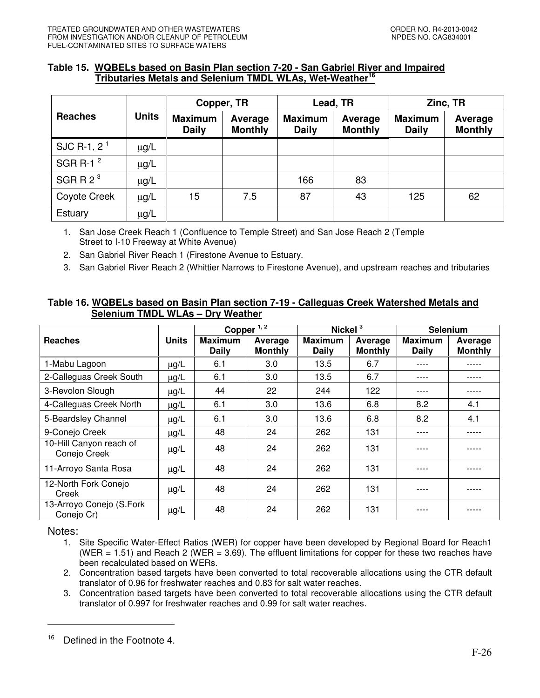## **Table 15. WQBELs based on Basin Plan section 7-20 - San Gabriel River and Impaired Tributaries Metals and Selenium TMDL WLAs, Wet-Weather<sup>16</sup>**

|                | <b>Units</b> | Copper, TR                     |                           |                                | Lead, TR                  | Zinc, TR                       |                           |
|----------------|--------------|--------------------------------|---------------------------|--------------------------------|---------------------------|--------------------------------|---------------------------|
| <b>Reaches</b> |              | <b>Maximum</b><br><b>Daily</b> | Average<br><b>Monthly</b> | <b>Maximum</b><br><b>Daily</b> | Average<br><b>Monthly</b> | <b>Maximum</b><br><b>Daily</b> | Average<br><b>Monthly</b> |
| SJC R-1, $2^1$ | $\mu$ g/L    |                                |                           |                                |                           |                                |                           |
| SGR R-1 $2$    | $\mu$ g/L    |                                |                           |                                |                           |                                |                           |
| SGRR $2^3$     | $\mu$ g/L    |                                |                           | 166                            | 83                        |                                |                           |
| Coyote Creek   | $\mu$ g/L    | 15                             | 7.5                       | 87                             | 43                        | 125                            | 62                        |
| Estuary        | $\mu$ g/L    |                                |                           |                                |                           |                                |                           |

1. San Jose Creek Reach 1 (Confluence to Temple Street) and San Jose Reach 2 (Temple Street to I-10 Freeway at White Avenue)

2. San Gabriel River Reach 1 (Firestone Avenue to Estuary.

3. San Gabriel River Reach 2 (Whittier Narrows to Firestone Avenue), and upstream reaches and tributaries

## **Table 16. WQBELs based on Basin Plan section 7-19 - Calleguas Creek Watershed Metals and Selenium TMDL WLAs – Dry Weather**

|                                         |              |                                | Copper <sup>1,2</sup>     | Nickel $3$                     |                           | <b>Selenium</b>                |                           |
|-----------------------------------------|--------------|--------------------------------|---------------------------|--------------------------------|---------------------------|--------------------------------|---------------------------|
| <b>Reaches</b>                          | <b>Units</b> | <b>Maximum</b><br><b>Daily</b> | Average<br><b>Monthly</b> | <b>Maximum</b><br><b>Daily</b> | Average<br><b>Monthly</b> | <b>Maximum</b><br><b>Daily</b> | Average<br><b>Monthly</b> |
| 1-Mabu Lagoon                           | $\mu$ g/L    | 6.1                            | 3.0                       | 13.5                           | 6.7                       |                                |                           |
| 2-Calleguas Creek South                 | $\mu$ g/L    | 6.1                            | 3.0 <sub>2</sub>          | 13.5                           | 6.7                       | ----                           |                           |
| 3-Revolon Slough                        | $\mu$ g/L    | 44                             | 22                        | 244                            | 122                       |                                |                           |
| 4-Calleguas Creek North                 | $\mu$ g/L    | 6.1                            | 3.0                       | 13.6                           | 6.8                       | 8.2                            | 4.1                       |
| 5-Beardsley Channel                     | $\mu$ g/L    | 6.1                            | 3.0                       | 13.6                           | 6.8                       | 8.2                            | 4.1                       |
| 9-Conejo Creek                          | $\mu$ g/L    | 48                             | 24                        | 262                            | 131                       | ----                           |                           |
| 10-Hill Canyon reach of<br>Conejo Creek | $\mu$ g/L    | 48                             | 24                        | 262                            | 131                       |                                |                           |
| 11-Arroyo Santa Rosa                    | $\mu$ g/L    | 48                             | 24                        | 262                            | 131                       |                                |                           |
| 12-North Fork Conejo<br>Creek           | $\mu$ g/L    | 48                             | 24                        | 262                            | 131                       | ----                           |                           |
| 13-Arroyo Conejo (S.Fork<br>Conejo Cr)  | $\mu$ g/L    | 48                             | 24                        | 262                            | 131                       |                                |                           |

Notes:

-

- 1. Site Specific Water-Effect Ratios (WER) for copper have been developed by Regional Board for Reach1 (WER = 1.51) and Reach 2 (WER = 3.69). The effluent limitations for copper for these two reaches have been recalculated based on WERs.
- 2. Concentration based targets have been converted to total recoverable allocations using the CTR default translator of 0.96 for freshwater reaches and 0.83 for salt water reaches.
- 3. Concentration based targets have been converted to total recoverable allocations using the CTR default translator of 0.997 for freshwater reaches and 0.99 for salt water reaches.

<sup>&</sup>lt;sup>16</sup> Defined in the Footnote 4.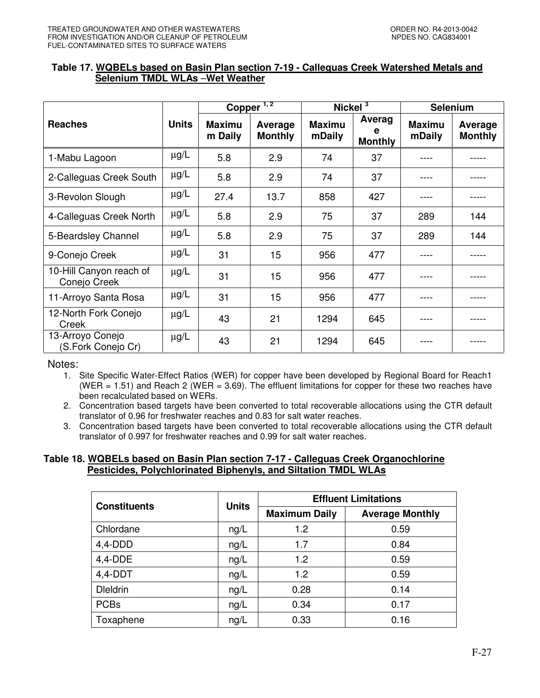## **Table 17. WQBELs based on Basin Plan section 7-19 - Calleguas Creek Watershed Metals and Selenium TMDL WLAs** –**Wet Weather**

|                                         |              | Copper <sup><math>1,2</math></sup> |                           | Nickel <sup>3</sup>     |                          | <b>Selenium</b>         |                           |
|-----------------------------------------|--------------|------------------------------------|---------------------------|-------------------------|--------------------------|-------------------------|---------------------------|
| <b>Reaches</b>                          | <b>Units</b> | <b>Maximu</b><br>m Daily           | Average<br><b>Monthly</b> | <b>Maximu</b><br>mDaily | Averag<br><b>Monthly</b> | <b>Maximu</b><br>mDaily | Average<br><b>Monthly</b> |
| 1-Mabu Lagoon                           | $\mu$ g/L    | 5.8                                | 2.9                       | 74                      | 37                       |                         |                           |
| 2-Calleguas Creek South                 | $\mu$ g/L    | 5.8                                | 2.9                       | 74                      | 37                       |                         |                           |
| 3-Revolon Slough                        | $\mu$ g/L    | 27.4                               | 13.7                      | 858                     | 427                      |                         |                           |
| 4-Calleguas Creek North                 | $\mu$ g/L    | 5.8                                | 2.9                       | 75                      | 37                       | 289                     | 144                       |
| 5-Beardsley Channel                     | $\mu$ g/L    | 5.8                                | 2.9                       | 75                      | 37                       | 289                     | 144                       |
| 9-Conejo Creek                          | $\mu$ g/L    | 31                                 | 15                        | 956                     | 477                      |                         |                           |
| 10-Hill Canyon reach of<br>Conejo Creek | $\mu$ g/L    | 31                                 | 15                        | 956                     | 477                      |                         |                           |
| 11-Arroyo Santa Rosa                    | $\mu$ g/L    | 31                                 | 15                        | 956                     | 477                      |                         |                           |
| 12-North Fork Conejo<br>Creek           | $\mu$ g/L    | 43                                 | 21                        | 1294                    | 645                      |                         |                           |
| 13-Arroyo Conejo<br>(S.Fork Conejo Cr)  | $\mu$ g/L    | 43                                 | 21                        | 1294                    | 645                      |                         |                           |

Notes:

1. Site Specific Water-Effect Ratios (WER) for copper have been developed by Regional Board for Reach1 (WER = 1.51) and Reach 2 (WER = 3.69). The effluent limitations for copper for these two reaches have been recalculated based on WERs.

2. Concentration based targets have been converted to total recoverable allocations using the CTR default translator of 0.96 for freshwater reaches and 0.83 for salt water reaches.

3. Concentration based targets have been converted to total recoverable allocations using the CTR default translator of 0.997 for freshwater reaches and 0.99 for salt water reaches.

#### **Table 18. WQBELs based on Basin Plan section 7-17 - Calleguas Creek Organochlorine Pesticides, Polychlorinated Biphenyls, and Siltation TMDL WLAs**

| <b>Constituents</b> | <b>Units</b> | <b>Effluent Limitations</b> |                        |  |
|---------------------|--------------|-----------------------------|------------------------|--|
|                     |              | <b>Maximum Daily</b>        | <b>Average Monthly</b> |  |
| Chlordane           | ng/L         | 1.2                         | 0.59                   |  |
| $4,4$ -DDD          | ng/L         | 1.7                         | 0.84                   |  |
| $4,4$ -DDE          | ng/L         | 1.2                         | 0.59                   |  |
| $4,4$ -DDT          | ng/L         | 1.2                         | 0.59                   |  |
| <b>Dieldrin</b>     | ng/L         | 0.28                        | 0.14                   |  |
| <b>PCBs</b>         | ng/L         | 0.34                        | 0.17                   |  |
| Toxaphene           | ng/L         | 0.33                        | 0.16                   |  |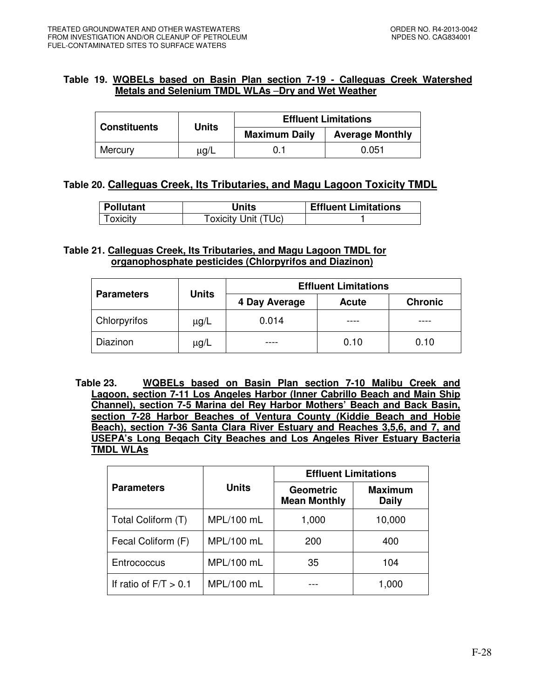## **Table 19. WQBELs based on Basin Plan section 7-19 - Calleguas Creek Watershed Metals and Selenium TMDL WLAs** –**Dry and Wet Weather**

| <b>Constituents</b> | <b>Units</b> | <b>Effluent Limitations</b> |                        |  |
|---------------------|--------------|-----------------------------|------------------------|--|
|                     |              | <b>Maximum Daily</b>        | <b>Average Monthly</b> |  |
| Mercury             | $\mu$ g/L    |                             | 0.051                  |  |

## **Table 20. Calleguas Creek, Its Tributaries, and Magu Lagoon Toxicity TMDL**

| Pollutant | <b>Units</b>        | <b>Effluent Limitations</b> |
|-----------|---------------------|-----------------------------|
| Toxicity  | Toxicity Unit (TUc) |                             |

## **Table 21. Calleguas Creek, Its Tributaries, and Magu Lagoon TMDL for organophosphate pesticides (Chlorpyrifos and Diazinon)**

|                     | <b>Units</b> | <b>Effluent Limitations</b> |              |                |  |  |
|---------------------|--------------|-----------------------------|--------------|----------------|--|--|
| <b>Parameters</b>   |              | 4 Day Average               | <b>Acute</b> | <b>Chronic</b> |  |  |
| <b>Chlorpyrifos</b> | ug/L         | 0.014                       |              |                |  |  |
| Diazinon            | ug/L         |                             | 0.10         | 0.10           |  |  |

**Table 23. WQBELs based on Basin Plan section 7-10 Malibu Creek and Lagoon, section 7-11 Los Angeles Harbor (Inner Cabrillo Beach and Main Ship Channel), section 7-5 Marina del Rey Harbor Mothers' Beach and Back Basin, section 7-28 Harbor Beaches of Ventura County (Kiddie Beach and Hobie Beach), section 7-36 Santa Clara River Estuary and Reaches 3,5,6, and 7, and USEPA's Long Beqach City Beaches and Los Angeles River Estuary Bacteria TMDL WLAs** 

|                         |            | <b>Effluent Limitations</b>             |                                |  |
|-------------------------|------------|-----------------------------------------|--------------------------------|--|
| <b>Parameters</b>       | Units      | <b>Geometric</b><br><b>Mean Monthly</b> | <b>Maximum</b><br><b>Daily</b> |  |
| Total Coliform (T)      | MPL/100 mL | 1,000                                   | 10,000                         |  |
| Fecal Coliform (F)      | MPL/100 mL | 200                                     | 400                            |  |
| Entrococcus             | MPL/100 mL | 35                                      | 104                            |  |
| If ratio of $F/T > 0.1$ | MPL/100 mL |                                         | 1,000                          |  |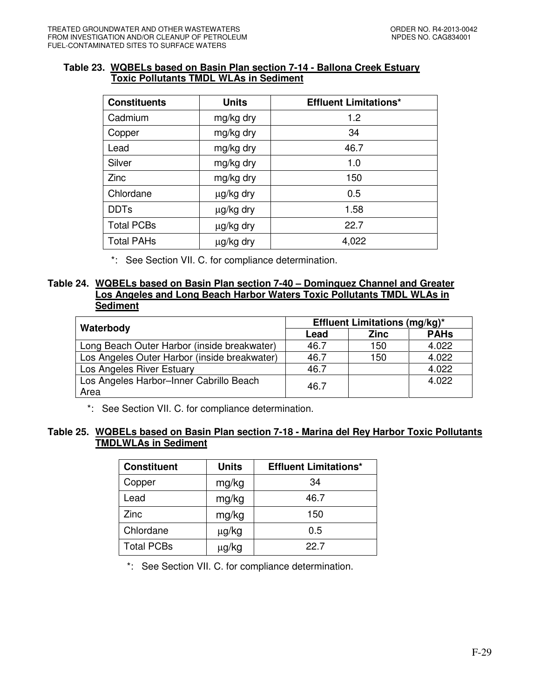### **Table 23. WQBELs based on Basin Plan section 7-14 - Ballona Creek Estuary Toxic Pollutants TMDL WLAs in Sediment**

| <b>Constituents</b> | <b>Units</b> | <b>Effluent Limitations*</b> |
|---------------------|--------------|------------------------------|
| Cadmium             | mg/kg dry    | 1.2                          |
| Copper              | mg/kg dry    | 34                           |
| Lead                | mg/kg dry    | 46.7                         |
| Silver              | mg/kg dry    | 1.0                          |
| <b>Zinc</b>         | mg/kg dry    | 150                          |
| Chlordane           | µg/kg dry    | 0.5                          |
| <b>DDTs</b>         | µg/kg dry    | 1.58                         |
| <b>Total PCBs</b>   | µg/kg dry    | 22.7                         |
| <b>Total PAHs</b>   | µg/kg dry    | 4,022                        |

\*: See Section VII. C. for compliance determination.

### **Table 24. WQBELs based on Basin Plan section 7-40 – Dominguez Channel and Greater Los Angeles and Long Beach Harbor Waters Toxic Pollutants TMDL WLAs in Sediment**

|                                              | <b>Effluent Limitations (mg/kg)*</b> |             |             |  |
|----------------------------------------------|--------------------------------------|-------------|-------------|--|
| Waterbody                                    | Lead                                 | <b>Zinc</b> | <b>PAHs</b> |  |
| Long Beach Outer Harbor (inside breakwater)  | 46.7                                 | 150         | 4.022       |  |
| Los Angeles Outer Harbor (inside breakwater) | 46.7                                 | 150         | 4.022       |  |
| Los Angeles River Estuary                    | 46.7                                 |             | 4.022       |  |
| Los Angeles Harbor-Inner Cabrillo Beach      | 46.7                                 |             | 4.022       |  |
| Area                                         |                                      |             |             |  |

\*: See Section VII. C. for compliance determination.

## **Table 25. WQBELs based on Basin Plan section 7-18 - Marina del Rey Harbor Toxic Pollutants TMDLWLAs in Sediment**

| <b>Constituent</b> | <b>Units</b> | <b>Effluent Limitations*</b> |
|--------------------|--------------|------------------------------|
| Copper             | mg/kg        | 34                           |
| Lead               | mg/kg        | 46.7                         |
| Zinc               | mg/kg        | 150                          |
| Chlordane          | μg/kg        | 0.5                          |
| <b>Total PCBs</b>  | µg/kg        | 22.7                         |

\*: See Section VII. C. for compliance determination.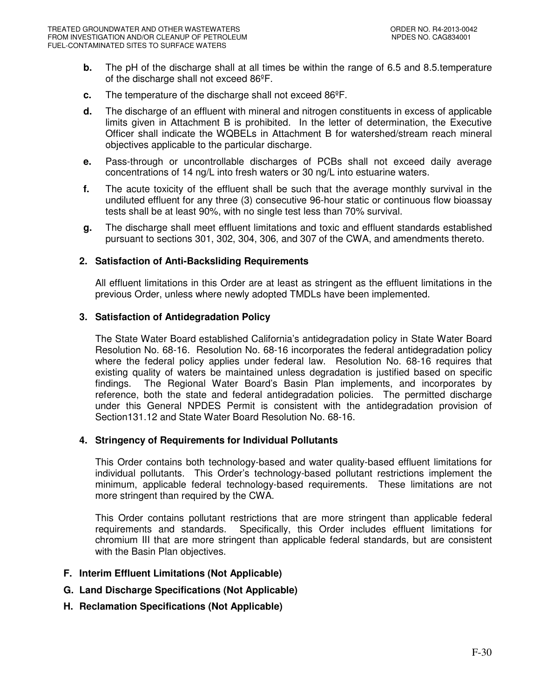- **b.** The pH of the discharge shall at all times be within the range of 6.5 and 8.5.temperature of the discharge shall not exceed 86ºF.
- **c.** The temperature of the discharge shall not exceed 86ºF.
- **d.** The discharge of an effluent with mineral and nitrogen constituents in excess of applicable limits given in Attachment B is prohibited. In the letter of determination, the Executive Officer shall indicate the WQBELs in Attachment B for watershed/stream reach mineral objectives applicable to the particular discharge.
- **e.** Pass-through or uncontrollable discharges of PCBs shall not exceed daily average concentrations of 14 ng/L into fresh waters or 30 ng/L into estuarine waters.
- **f.** The acute toxicity of the effluent shall be such that the average monthly survival in the undiluted effluent for any three (3) consecutive 96-hour static or continuous flow bioassay tests shall be at least 90%, with no single test less than 70% survival.
- **g.** The discharge shall meet effluent limitations and toxic and effluent standards established pursuant to sections 301, 302, 304, 306, and 307 of the CWA, and amendments thereto.

### **2. Satisfaction of Anti-Backsliding Requirements**

All effluent limitations in this Order are at least as stringent as the effluent limitations in the previous Order, unless where newly adopted TMDLs have been implemented.

### **3. Satisfaction of Antidegradation Policy**

The State Water Board established California's antidegradation policy in State Water Board Resolution No. 68-16. Resolution No. 68-16 incorporates the federal antidegradation policy where the federal policy applies under federal law. Resolution No. 68-16 requires that existing quality of waters be maintained unless degradation is justified based on specific findings. The Regional Water Board's Basin Plan implements, and incorporates by reference, both the state and federal antidegradation policies. The permitted discharge under this General NPDES Permit is consistent with the antidegradation provision of Section131.12 and State Water Board Resolution No. 68-16.

#### **4. Stringency of Requirements for Individual Pollutants**

This Order contains both technology-based and water quality-based effluent limitations for individual pollutants. This Order's technology-based pollutant restrictions implement the minimum, applicable federal technology-based requirements. These limitations are not more stringent than required by the CWA.

This Order contains pollutant restrictions that are more stringent than applicable federal requirements and standards. Specifically, this Order includes effluent limitations for chromium III that are more stringent than applicable federal standards, but are consistent with the Basin Plan objectives.

## **F. Interim Effluent Limitations (Not Applicable)**

- **G. Land Discharge Specifications (Not Applicable)**
- **H. Reclamation Specifications (Not Applicable)**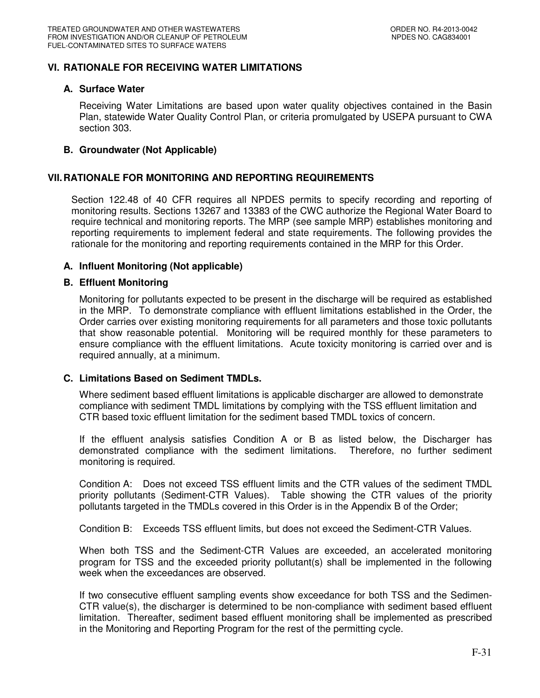## **VI. RATIONALE FOR RECEIVING WATER LIMITATIONS**

### **A. Surface Water**

Receiving Water Limitations are based upon water quality objectives contained in the Basin Plan, statewide Water Quality Control Plan, or criteria promulgated by USEPA pursuant to CWA section 303.

### **B. Groundwater (Not Applicable)**

### **VII. RATIONALE FOR MONITORING AND REPORTING REQUIREMENTS**

Section 122.48 of 40 CFR requires all NPDES permits to specify recording and reporting of monitoring results. Sections 13267 and 13383 of the CWC authorize the Regional Water Board to require technical and monitoring reports. The MRP (see sample MRP) establishes monitoring and reporting requirements to implement federal and state requirements. The following provides the rationale for the monitoring and reporting requirements contained in the MRP for this Order.

### **A. Influent Monitoring (Not applicable)**

#### **B. Effluent Monitoring**

Monitoring for pollutants expected to be present in the discharge will be required as established in the MRP. To demonstrate compliance with effluent limitations established in the Order, the Order carries over existing monitoring requirements for all parameters and those toxic pollutants that show reasonable potential. Monitoring will be required monthly for these parameters to ensure compliance with the effluent limitations. Acute toxicity monitoring is carried over and is required annually, at a minimum.

### **C. Limitations Based on Sediment TMDLs.**

Where sediment based effluent limitations is applicable discharger are allowed to demonstrate compliance with sediment TMDL limitations by complying with the TSS effluent limitation and CTR based toxic effluent limitation for the sediment based TMDL toxics of concern.

If the effluent analysis satisfies Condition A or B as listed below, the Discharger has demonstrated compliance with the sediment limitations. Therefore, no further sediment monitoring is required.

Condition A: Does not exceed TSS effluent limits and the CTR values of the sediment TMDL priority pollutants (Sediment-CTR Values). Table showing the CTR values of the priority pollutants targeted in the TMDLs covered in this Order is in the Appendix B of the Order;

Condition B: Exceeds TSS effluent limits, but does not exceed the Sediment-CTR Values.

When both TSS and the Sediment-CTR Values are exceeded, an accelerated monitoring program for TSS and the exceeded priority pollutant(s) shall be implemented in the following week when the exceedances are observed.

If two consecutive effluent sampling events show exceedance for both TSS and the Sedimen-CTR value(s), the discharger is determined to be non-compliance with sediment based effluent limitation. Thereafter, sediment based effluent monitoring shall be implemented as prescribed in the Monitoring and Reporting Program for the rest of the permitting cycle.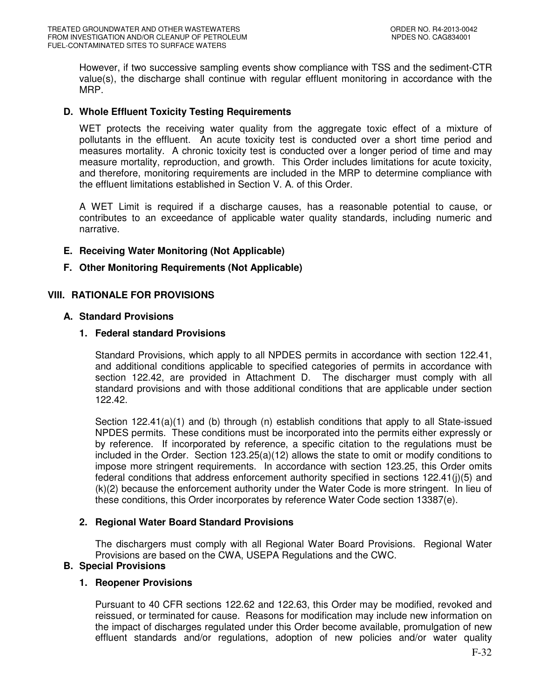However, if two successive sampling events show compliance with TSS and the sediment-CTR value(s), the discharge shall continue with regular effluent monitoring in accordance with the MRP.

## **D. Whole Effluent Toxicity Testing Requirements**

WET protects the receiving water quality from the aggregate toxic effect of a mixture of pollutants in the effluent. An acute toxicity test is conducted over a short time period and measures mortality. A chronic toxicity test is conducted over a longer period of time and may measure mortality, reproduction, and growth. This Order includes limitations for acute toxicity, and therefore, monitoring requirements are included in the MRP to determine compliance with the effluent limitations established in Section V. A. of this Order.

A WET Limit is required if a discharge causes, has a reasonable potential to cause, or contributes to an exceedance of applicable water quality standards, including numeric and narrative.

## **E. Receiving Water Monitoring (Not Applicable)**

## **F. Other Monitoring Requirements (Not Applicable)**

## **VIII. RATIONALE FOR PROVISIONS**

## **A. Standard Provisions**

## **1. Federal standard Provisions**

Standard Provisions, which apply to all NPDES permits in accordance with section 122.41, and additional conditions applicable to specified categories of permits in accordance with section 122.42, are provided in Attachment D. The discharger must comply with all standard provisions and with those additional conditions that are applicable under section 122.42.

Section 122.41(a)(1) and (b) through (n) establish conditions that apply to all State-issued NPDES permits. These conditions must be incorporated into the permits either expressly or by reference. If incorporated by reference, a specific citation to the regulations must be included in the Order. Section 123.25(a)(12) allows the state to omit or modify conditions to impose more stringent requirements. In accordance with section 123.25, this Order omits federal conditions that address enforcement authority specified in sections 122.41(j)(5) and (k)(2) because the enforcement authority under the Water Code is more stringent. In lieu of these conditions, this Order incorporates by reference Water Code section 13387(e).

## **2. Regional Water Board Standard Provisions**

The dischargers must comply with all Regional Water Board Provisions. Regional Water Provisions are based on the CWA, USEPA Regulations and the CWC.

## **B. Special Provisions**

## **1. Reopener Provisions**

Pursuant to 40 CFR sections 122.62 and 122.63, this Order may be modified, revoked and reissued, or terminated for cause. Reasons for modification may include new information on the impact of discharges regulated under this Order become available, promulgation of new effluent standards and/or regulations, adoption of new policies and/or water quality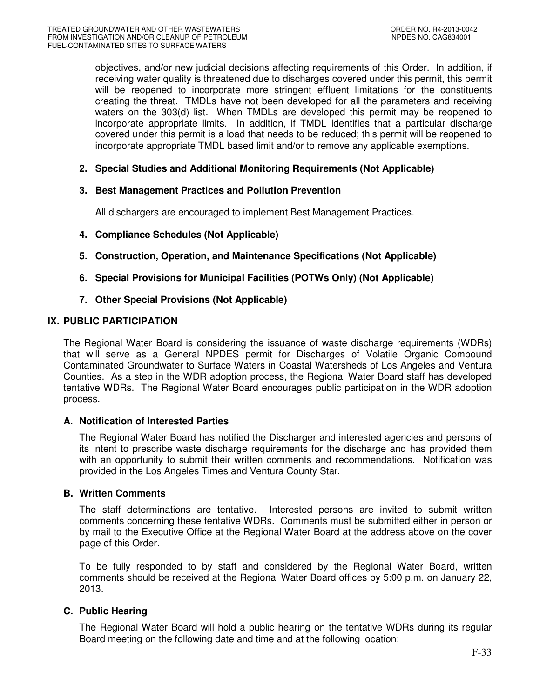objectives, and/or new judicial decisions affecting requirements of this Order. In addition, if receiving water quality is threatened due to discharges covered under this permit, this permit will be reopened to incorporate more stringent effluent limitations for the constituents creating the threat. TMDLs have not been developed for all the parameters and receiving waters on the 303(d) list. When TMDLs are developed this permit may be reopened to incorporate appropriate limits. In addition, if TMDL identifies that a particular discharge covered under this permit is a load that needs to be reduced; this permit will be reopened to incorporate appropriate TMDL based limit and/or to remove any applicable exemptions.

## **2. Special Studies and Additional Monitoring Requirements (Not Applicable)**

## **3. Best Management Practices and Pollution Prevention**

All dischargers are encouraged to implement Best Management Practices.

- **4. Compliance Schedules (Not Applicable)**
- **5. Construction, Operation, and Maintenance Specifications (Not Applicable)**
- **6. Special Provisions for Municipal Facilities (POTWs Only) (Not Applicable)**
- **7. Other Special Provisions (Not Applicable)**

## **IX. PUBLIC PARTICIPATION**

The Regional Water Board is considering the issuance of waste discharge requirements (WDRs) that will serve as a General NPDES permit for Discharges of Volatile Organic Compound Contaminated Groundwater to Surface Waters in Coastal Watersheds of Los Angeles and Ventura Counties. As a step in the WDR adoption process, the Regional Water Board staff has developed tentative WDRs. The Regional Water Board encourages public participation in the WDR adoption process.

## **A. Notification of Interested Parties**

The Regional Water Board has notified the Discharger and interested agencies and persons of its intent to prescribe waste discharge requirements for the discharge and has provided them with an opportunity to submit their written comments and recommendations. Notification was provided in the Los Angeles Times and Ventura County Star.

## **B. Written Comments**

The staff determinations are tentative. Interested persons are invited to submit written comments concerning these tentative WDRs. Comments must be submitted either in person or by mail to the Executive Office at the Regional Water Board at the address above on the cover page of this Order.

To be fully responded to by staff and considered by the Regional Water Board, written comments should be received at the Regional Water Board offices by 5:00 p.m. on January 22, 2013.

## **C. Public Hearing**

The Regional Water Board will hold a public hearing on the tentative WDRs during its regular Board meeting on the following date and time and at the following location: